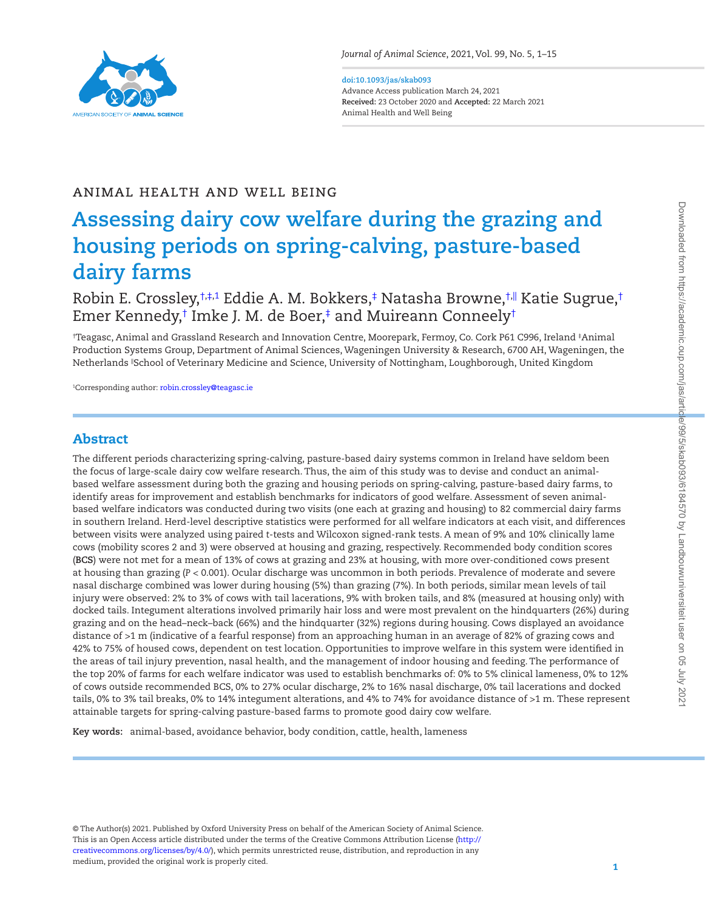

### **doi:10.1093/jas/skab093** Advance Access publication March 24, 2021

**Received:** 23 October 2020 and **Accepted:** 22 March 2021 Animal Health and Well Being

# ANIMAL HEALTH AND WELL BEING

# **Assessing dairy cow welfare during the grazing and housing periods on spring-calving, pasture-based dairy farms**

Robin E. Crossley,[†](#page-0-0)[,‡](#page-0-1),[1](#page-0-2) Eddie A. M. Bokkers,[‡](#page-0-1) Natasha Browne,†∥ Katie Sugrue,† Emer Kennedy,[†](#page-0-0) Imke J. M. de Boer,[‡](#page-0-1) and Muireann Conneel[y†](#page-0-0)

<span id="page-0-1"></span><span id="page-0-0"></span>† Teagasc, Animal and Grassland Research and Innovation Centre, Moorepark, Fermoy, Co. Cork P61 C996, Ireland ‡ Animal Production Systems Group, Department of Animal Sciences, Wageningen University & Research, 6700 AH, Wageningen, the Netherlands ||School of Veterinary Medicine and Science, University of Nottingham, Loughborough, United Kingdom

<span id="page-0-2"></span><sup>1</sup>Corresponding author: [robin.crossley@teagasc.ie](mailto:robin.crossley@teagasc.ie?subject=)

# Abstract

L

The different periods characterizing spring-calving, pasture-based dairy systems common in Ireland have seldom been the focus of large-scale dairy cow welfare research. Thus, the aim of this study was to devise and conduct an animalbased welfare assessment during both the grazing and housing periods on spring-calving, pasture-based dairy farms, to identify areas for improvement and establish benchmarks for indicators of good welfare. Assessment of seven animalbased welfare indicators was conducted during two visits (one each at grazing and housing) to 82 commercial dairy farms in southern Ireland. Herd-level descriptive statistics were performed for all welfare indicators at each visit, and differences between visits were analyzed using paired *t*-tests and Wilcoxon signed-rank tests. A mean of 9% and 10% clinically lame cows (mobility scores 2 and 3) were observed at housing and grazing, respectively. Recommended body condition scores (**BCS**) were not met for a mean of 13% of cows at grazing and 23% at housing, with more over-conditioned cows present at housing than grazing (*P* < 0.001). Ocular discharge was uncommon in both periods. Prevalence of moderate and severe nasal discharge combined was lower during housing (5%) than grazing (7%). In both periods, similar mean levels of tail injury were observed: 2% to 3% of cows with tail lacerations, 9% with broken tails, and 8% (measured at housing only) with docked tails. Integument alterations involved primarily hair loss and were most prevalent on the hindquarters (26%) during grazing and on the head–neck–back (66%) and the hindquarter (32%) regions during housing. Cows displayed an avoidance distance of >1 m (indicative of a fearful response) from an approaching human in an average of 82% of grazing cows and 42% to 75% of housed cows, dependent on test location. Opportunities to improve welfare in this system were identified in the areas of tail injury prevention, nasal health, and the management of indoor housing and feeding. The performance of the top 20% of farms for each welfare indicator was used to establish benchmarks of: 0% to 5% clinical lameness, 0% to 12% of cows outside recommended BCS, 0% to 27% ocular discharge, 2% to 16% nasal discharge, 0% tail lacerations and docked tails, 0% to 3% tail breaks, 0% to 14% integument alterations, and 4% to 74% for avoidance distance of >1 m. These represent attainable targets for spring-calving pasture-based farms to promote good dairy cow welfare.

**Key words:** animal-based, avoidance behavior, body condition, cattle, health, lameness

© The Author(s) 2021. Published by Oxford University Press on behalf of the American Society of Animal Science. This is an Open Access article distributed under the terms of the Creative Commons Attribution License [\(http://](http://creativecommons.org/licenses/by/4.0/) [creativecommons.org/licenses/by/4.0/](http://creativecommons.org/licenses/by/4.0/)), which permits unrestricted reuse, distribution, and reproduction in any medium, provided the original work is properly cited.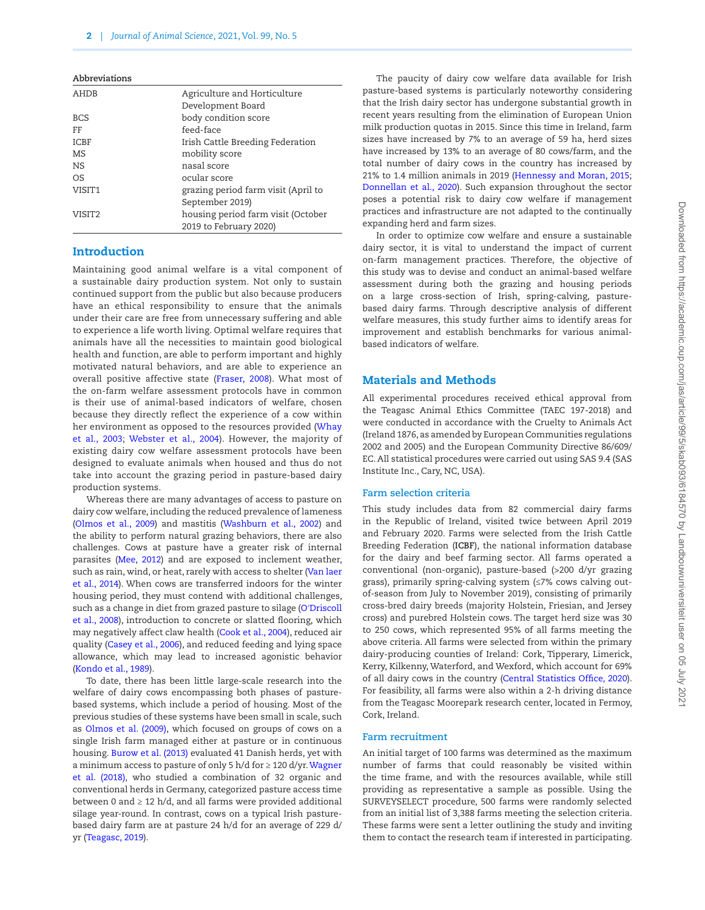| Abbreviations      |                                     |
|--------------------|-------------------------------------|
| <b>AHDB</b>        | Agriculture and Horticulture        |
|                    | Development Board                   |
| <b>BCS</b>         | body condition score                |
| FF                 | feed-face                           |
| <b>ICBF</b>        | Irish Cattle Breeding Federation    |
| MS                 | mobility score                      |
| <b>NS</b>          | nasal score                         |
| OS                 | ocular score                        |
| VISIT <sub>1</sub> | grazing period farm visit (April to |
|                    | September 2019)                     |
| VISIT2             | housing period farm visit (October  |
|                    | 2019 to February 2020)              |
|                    |                                     |

# Introduction

Maintaining good animal welfare is a vital component of a sustainable dairy production system. Not only to sustain continued support from the public but also because producers have an ethical responsibility to ensure that the animals under their care are free from unnecessary suffering and able to experience a life worth living. Optimal welfare requires that animals have all the necessities to maintain good biological health and function, are able to perform important and highly motivated natural behaviors, and are able to experience an overall positive affective state ([Fraser, 2008\)](#page-13-0). What most of the on-farm welfare assessment protocols have in common is their use of animal-based indicators of welfare, chosen because they directly reflect the experience of a cow within her environment as opposed to the resources provided [\(Whay](#page-14-0) [et al., 2003;](#page-14-0) [Webster et al., 2004\)](#page-14-1). However, the majority of existing dairy cow welfare assessment protocols have been designed to evaluate animals when housed and thus do not take into account the grazing period in pasture-based dairy production systems.

Whereas there are many advantages of access to pasture on dairy cow welfare, including the reduced prevalence of lameness [\(Olmos et al., 2009](#page-13-1)) and mastitis ([Washburn et al., 2002](#page-14-2)) and the ability to perform natural grazing behaviors, there are also challenges. Cows at pasture have a greater risk of internal parasites ([Mee, 2012\)](#page-13-2) and are exposed to inclement weather, such as rain, wind, or heat, rarely with access to shelter [\(Van laer](#page-14-3) [et al., 2014](#page-14-3)). When cows are transferred indoors for the winter housing period, they must contend with additional challenges, such as a change in diet from grazed pasture to silage (O′[Driscoll](#page-13-3) [et al., 2008\)](#page-13-3), introduction to concrete or slatted flooring, which may negatively affect claw health ([Cook et al., 2004](#page-12-0)), reduced air quality ([Casey et al., 2006\)](#page-12-1), and reduced feeding and lying space allowance, which may lead to increased agonistic behavior [\(Kondo et al., 1989\)](#page-13-4).

To date, there has been little large-scale research into the welfare of dairy cows encompassing both phases of pasturebased systems, which include a period of housing. Most of the previous studies of these systems have been small in scale, such as [Olmos et al. \(2009\),](#page-13-1) which focused on groups of cows on a single Irish farm managed either at pasture or in continuous housing. [Burow et al. \(2013\)](#page-12-2) evaluated 41 Danish herds, yet with a minimum access to pasture of only 5 h/d for ≥ 120 d/yr. [Wagner](#page-14-4) [et al. \(2018\),](#page-14-4) who studied a combination of 32 organic and conventional herds in Germany, categorized pasture access time between 0 and  $\geq 12$  h/d, and all farms were provided additional silage year-round. In contrast, cows on a typical Irish pasturebased dairy farm are at pasture 24 h/d for an average of 229 d/ yr [\(Teagasc, 2019\)](#page-13-5).

The paucity of dairy cow welfare data available for Irish pasture-based systems is particularly noteworthy considering that the Irish dairy sector has undergone substantial growth in recent years resulting from the elimination of European Union milk production quotas in 2015. Since this time in Ireland, farm sizes have increased by 7% to an average of 59 ha, herd sizes have increased by 13% to an average of 80 cows/farm, and the total number of dairy cows in the country has increased by 21% to 1.4 million animals in 2019 [\(Hennessy and Moran, 2015](#page-13-6); [Donnellan et al., 2020](#page-12-3)). Such expansion throughout the sector poses a potential risk to dairy cow welfare if management practices and infrastructure are not adapted to the continually expanding herd and farm sizes.

In order to optimize cow welfare and ensure a sustainable dairy sector, it is vital to understand the impact of current on-farm management practices. Therefore, the objective of this study was to devise and conduct an animal-based welfare assessment during both the grazing and housing periods on a large cross-section of Irish, spring-calving, pasturebased dairy farms. Through descriptive analysis of different welfare measures, this study further aims to identify areas for improvement and establish benchmarks for various animalbased indicators of welfare.

# Materials and Methods

All experimental procedures received ethical approval from the Teagasc Animal Ethics Committee (TAEC 197-2018) and were conducted in accordance with the Cruelty to Animals Act (Ireland 1876, as amended by European Communities regulations 2002 and 2005) and the European Community Directive 86/609/ EC. All statistical procedures were carried out using SAS 9.4 (SAS Institute Inc., Cary, NC, USA).

#### **Farm selection criteria**

This study includes data from 82 commercial dairy farms in the Republic of Ireland, visited twice between April 2019 and February 2020. Farms were selected from the Irish Cattle Breeding Federation (**ICBF**), the national information database for the dairy and beef farming sector. All farms operated a conventional (non-organic), pasture-based (>200 d/yr grazing grass), primarily spring-calving system (≤7% cows calving outof-season from July to November 2019), consisting of primarily cross-bred dairy breeds (majority Holstein, Friesian, and Jersey cross) and purebred Holstein cows. The target herd size was 30 to 250 cows, which represented 95% of all farms meeting the above criteria. All farms were selected from within the primary dairy-producing counties of Ireland: Cork, Tipperary, Limerick, Kerry, Kilkenny, Waterford, and Wexford, which account for 69% of all dairy cows in the country [\(Central Statistics Office, 2020](#page-12-4)). For feasibility, all farms were also within a 2-h driving distance from the Teagasc Moorepark research center, located in Fermoy, Cork, Ireland.

# **Farm recruitment**

An initial target of 100 farms was determined as the maximum number of farms that could reasonably be visited within the time frame, and with the resources available, while still providing as representative a sample as possible. Using the SURVEYSELECT procedure, 500 farms were randomly selected from an initial list of 3,388 farms meeting the selection criteria. These farms were sent a letter outlining the study and inviting them to contact the research team if interested in participating.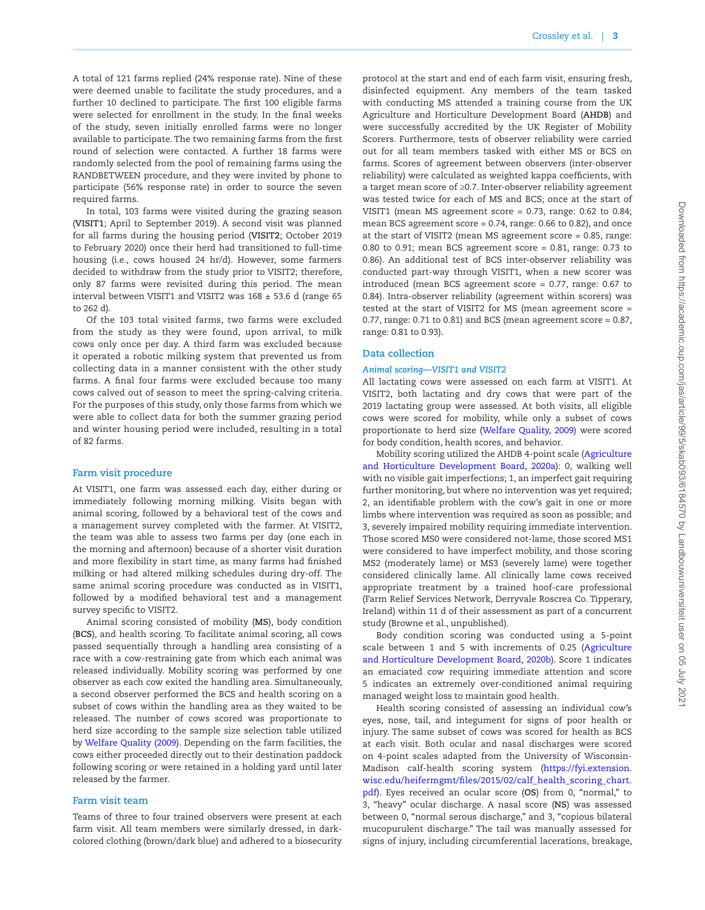A total of 121 farms replied (24% response rate). Nine of these were deemed unable to facilitate the study procedures, and a further 10 declined to participate. The first 100 eligible farms were selected for enrollment in the study. In the final weeks of the study, seven initially enrolled farms were no longer available to participate. The two remaining farms from the first round of selection were contacted. A further 18 farms were randomly selected from the pool of remaining farms using the RANDBETWEEN procedure, and they were invited by phone to participate (56% response rate) in order to source the seven required farms.

In total, 103 farms were visited during the grazing season (**VISIT1**; April to September 2019). A second visit was planned for all farms during the housing period (**VISIT2**; October 2019 to February 2020) once their herd had transitioned to full-time housing (i.e., cows housed 24 hr/d). However, some farmers decided to withdraw from the study prior to VISIT2; therefore, only 87 farms were revisited during this period. The mean interval between VISIT1 and VISIT2 was  $168 \pm 53.6$  d (range 65 to 262 d).

Of the 103 total visited farms, two farms were excluded from the study as they were found, upon arrival, to milk cows only once per day. A third farm was excluded because it operated a robotic milking system that prevented us from collecting data in a manner consistent with the other study farms. A final four farms were excluded because too many cows calved out of season to meet the spring-calving criteria. For the purposes of this study, only those farms from which we were able to collect data for both the summer grazing period and winter housing period were included, resulting in a total of 82 farms.

#### **Farm visit procedure**

At VISIT1, one farm was assessed each day, either during or immediately following morning milking. Visits began with animal scoring, followed by a behavioral test of the cows and a management survey completed with the farmer. At VISIT2, the team was able to assess two farms per day (one each in the morning and afternoon) because of a shorter visit duration and more flexibility in start time, as many farms had finished milking or had altered milking schedules during dry-off. The same animal scoring procedure was conducted as in VISIT1, followed by a modified behavioral test and a management survey specific to VISIT2.

Animal scoring consisted of mobility (**MS**), body condition (**BCS**), and health scoring. To facilitate animal scoring, all cows passed sequentially through a handling area consisting of a race with a cow-restraining gate from which each animal was released individually. Mobility scoring was performed by one observer as each cow exited the handling area. Simultaneously, a second observer performed the BCS and health scoring on a subset of cows within the handling area as they waited to be released. The number of cows scored was proportionate to herd size according to the sample size selection table utilized by [Welfare Quality \(2009\).](#page-14-5) Depending on the farm facilities, the cows either proceeded directly out to their destination paddock following scoring or were retained in a holding yard until later released by the farmer.

#### **Farm visit team**

Teams of three to four trained observers were present at each farm visit. All team members were similarly dressed, in darkcolored clothing (brown/dark blue) and adhered to a biosecurity protocol at the start and end of each farm visit, ensuring fresh, disinfected equipment. Any members of the team tasked with conducting MS attended a training course from the UK Agriculture and Horticulture Development Board (**AHDB**) and were successfully accredited by the UK Register of Mobility Scorers. Furthermore, tests of observer reliability were carried out for all team members tasked with either MS or BCS on farms. Scores of agreement between observers (inter-observer reliability) were calculated as weighted kappa coefficients, with a target mean score of ≥0.7. Inter-observer reliability agreement was tested twice for each of MS and BCS; once at the start of VISIT1 (mean MS agreement score = 0.73, range: 0.62 to 0.84; mean BCS agreement score = 0.74, range: 0.66 to 0.82), and once at the start of VISIT2 (mean MS agreement score = 0.85, range: 0.80 to 0.91; mean BCS agreement score = 0.81, range: 0.73 to 0.86). An additional test of BCS inter-observer reliability was conducted part-way through VISIT1, when a new scorer was introduced (mean BCS agreement score = 0.77, range: 0.67 to 0.84). Intra-observer reliability (agreement within scorers) was tested at the start of VISIT2 for MS (mean agreement score = 0.77, range: 0.71 to 0.81) and BCS (mean agreement score = 0.87, range: 0.81 to 0.93).

#### **Data collection**

#### *Animal scoring—VISIT1 and VISIT2*

All lactating cows were assessed on each farm at VISIT1. At VISIT2, both lactating and dry cows that were part of the 2019 lactating group were assessed. At both visits, all eligible cows were scored for mobility, while only a subset of cows proportionate to herd size [\(Welfare Quality, 2009\)](#page-14-5) were scored for body condition, health scores, and behavior.

Mobility scoring utilized the AHDB 4-point scale ([Agriculture](#page-12-5) [and Horticulture Development Board, 2020a\)](#page-12-5): 0, walking well with no visible gait imperfections; 1, an imperfect gait requiring further monitoring, but where no intervention was yet required; 2, an identifiable problem with the cow's gait in one or more limbs where intervention was required as soon as possible; and 3, severely impaired mobility requiring immediate intervention. Those scored MS0 were considered not-lame, those scored MS1 were considered to have imperfect mobility, and those scoring MS2 (moderately lame) or MS3 (severely lame) were together considered clinically lame. All clinically lame cows received appropriate treatment by a trained hoof-care professional (Farm Relief Services Network, Derryvale Roscrea Co. Tipperary, Ireland) within 11 d of their assessment as part of a concurrent study (Browne et al., unpublished).

Body condition scoring was conducted using a 5-point scale between 1 and 5 with increments of 0.25 ([Agriculture](#page-12-6) [and Horticulture Development Board, 2020b\)](#page-12-6). Score 1 indicates an emaciated cow requiring immediate attention and score 5 indicates an extremely over-conditioned animal requiring managed weight loss to maintain good health.

Health scoring consisted of assessing an individual cow's eyes, nose, tail, and integument for signs of poor health or injury. The same subset of cows was scored for health as BCS at each visit. Both ocular and nasal discharges were scored on 4-point scales adapted from the University of Wisconsin-Madison calf-health scoring system [\(https://fyi.extension.](https://fyi.extension.wisc.edu/heifermgmt/files/2015/02/calf_health_scoring_chart.pdf) [wisc.edu/heifermgmt/files/2015/02/calf\\_health\\_scoring\\_chart.](https://fyi.extension.wisc.edu/heifermgmt/files/2015/02/calf_health_scoring_chart.pdf) [pdf](https://fyi.extension.wisc.edu/heifermgmt/files/2015/02/calf_health_scoring_chart.pdf)). Eyes received an ocular score (**OS**) from 0, "normal," to 3, "heavy" ocular discharge. A nasal score (**NS**) was assessed between 0, "normal serous discharge," and 3, "copious bilateral mucopurulent discharge." The tail was manually assessed for signs of injury, including circumferential lacerations, breakage,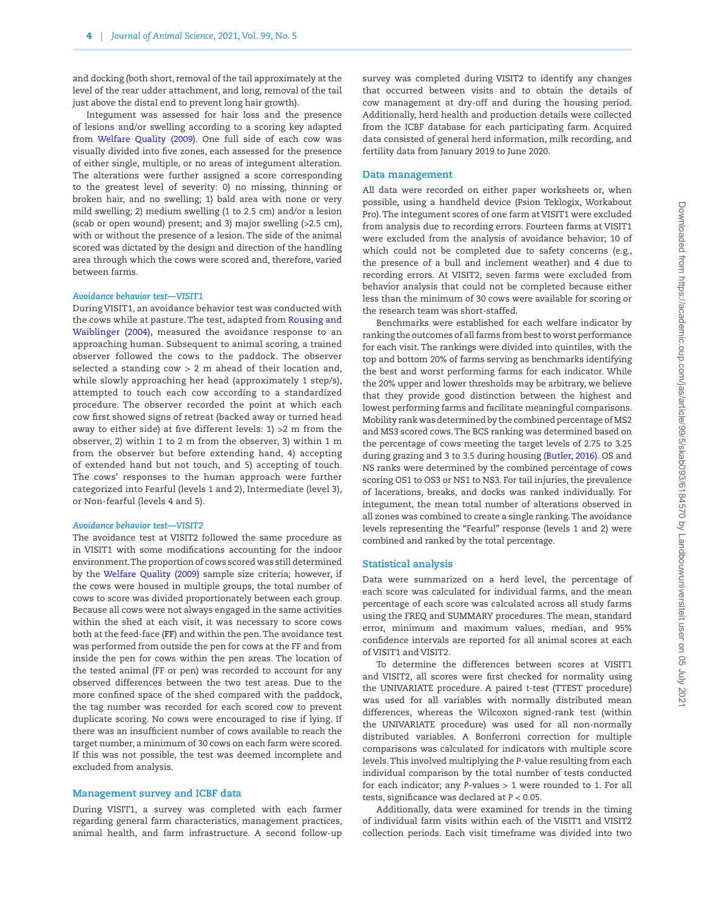and docking (both short, removal of the tail approximately at the level of the rear udder attachment, and long, removal of the tail just above the distal end to prevent long hair growth).

Integument was assessed for hair loss and the presence of lesions and/or swelling according to a scoring key adapted from [Welfare Quality \(2009\).](#page-14-5) One full side of each cow was visually divided into five zones, each assessed for the presence of either single, multiple, or no areas of integument alteration. The alterations were further assigned a score corresponding to the greatest level of severity: 0) no missing, thinning or broken hair, and no swelling; 1) bald area with none or very mild swelling; 2) medium swelling (1 to 2.5 cm) and/or a lesion (scab or open wound) present; and 3) major swelling (>2.5 cm), with or without the presence of a lesion. The side of the animal scored was dictated by the design and direction of the handling area through which the cows were scored and, therefore, varied between farms.

#### *Avoidance behavior test—VISIT1*

During VISIT1, an avoidance behavior test was conducted with the cows while at pasture. The test, adapted from [Rousing and](#page-13-7) [Waiblinger \(2004\),](#page-13-7) measured the avoidance response to an approaching human. Subsequent to animal scoring, a trained observer followed the cows to the paddock. The observer selected a standing cow > 2 m ahead of their location and, while slowly approaching her head (approximately 1 step/s), attempted to touch each cow according to a standardized procedure. The observer recorded the point at which each cow first showed signs of retreat (backed away or turned head away to either side) at five different levels: 1) >2 m from the observer, 2) within 1 to 2 m from the observer, 3) within 1 m from the observer but before extending hand, 4) accepting of extended hand but not touch, and 5) accepting of touch. The cows' responses to the human approach were further categorized into Fearful (levels 1 and 2), Intermediate (level 3), or Non-fearful (levels 4 and 5).

#### *Avoidance behavior test—VISIT2*

The avoidance test at VISIT2 followed the same procedure as in VISIT1 with some modifications accounting for the indoor environment. The proportion of cows scored was still determined by the [Welfare Quality \(2009\)](#page-14-5) sample size criteria; however, if the cows were housed in multiple groups, the total number of cows to score was divided proportionately between each group. Because all cows were not always engaged in the same activities within the shed at each visit, it was necessary to score cows both at the feed-face (**FF**) and within the pen. The avoidance test was performed from outside the pen for cows at the FF and from inside the pen for cows within the pen areas. The location of the tested animal (FF or pen) was recorded to account for any observed differences between the two test areas. Due to the more confined space of the shed compared with the paddock, the tag number was recorded for each scored cow to prevent duplicate scoring. No cows were encouraged to rise if lying. If there was an insufficient number of cows available to reach the target number, a minimum of 30 cows on each farm were scored. If this was not possible, the test was deemed incomplete and excluded from analysis.

#### **Management survey and ICBF data**

During VISIT1, a survey was completed with each farmer regarding general farm characteristics, management practices, animal health, and farm infrastructure. A second follow-up survey was completed during VISIT2 to identify any changes that occurred between visits and to obtain the details of cow management at dry-off and during the housing period. Additionally, herd health and production details were collected from the ICBF database for each participating farm. Acquired data consisted of general herd information, milk recording, and fertility data from January 2019 to June 2020.

#### **Data management**

All data were recorded on either paper worksheets or, when possible, using a handheld device (Psion Teklogix, Workabout Pro). The integument scores of one farm at VISIT1 were excluded from analysis due to recording errors. Fourteen farms at VISIT1 were excluded from the analysis of avoidance behavior; 10 of which could not be completed due to safety concerns (e.g., the presence of a bull and inclement weather) and 4 due to recording errors. At VISIT2, seven farms were excluded from behavior analysis that could not be completed because either less than the minimum of 30 cows were available for scoring or the research team was short-staffed.

Benchmarks were established for each welfare indicator by ranking the outcomes of all farms from best to worst performance for each visit. The rankings were divided into quintiles, with the top and bottom 20% of farms serving as benchmarks identifying the best and worst performing farms for each indicator. While the 20% upper and lower thresholds may be arbitrary, we believe that they provide good distinction between the highest and lowest performing farms and facilitate meaningful comparisons. Mobility rank was determined by the combined percentage of MS2 and MS3 scored cows. The BCS ranking was determined based on the percentage of cows meeting the target levels of 2.75 to 3.25 during grazing and 3 to 3.5 during housing ([Butler, 2016\)](#page-12-7). OS and NS ranks were determined by the combined percentage of cows scoring OS1 to OS3 or NS1 to NS3. For tail injuries, the prevalence of lacerations, breaks, and docks was ranked individually. For integument, the mean total number of alterations observed in all zones was combined to create a single ranking. The avoidance levels representing the "Fearful" response (levels 1 and 2) were combined and ranked by the total percentage.

#### **Statistical analysis**

Data were summarized on a herd level, the percentage of each score was calculated for individual farms, and the mean percentage of each score was calculated across all study farms using the FREQ and SUMMARY procedures. The mean, standard error, minimum and maximum values, median, and 95% confidence intervals are reported for all animal scores at each of VISIT1 and VISIT2.

To determine the differences between scores at VISIT1 and VISIT2, all scores were first checked for normality using the UNIVARIATE procedure. A paired *t*-test (TTEST procedure) was used for all variables with normally distributed mean differences, whereas the Wilcoxon signed-rank test (within the UNIVARIATE procedure) was used for all non-normally distributed variables. A Bonferroni correction for multiple comparisons was calculated for indicators with multiple score levels. This involved multiplying the *P*-value resulting from each individual comparison by the total number of tests conducted for each indicator; any *P*-values > 1 were rounded to 1. For all tests, significance was declared at *P* < 0.05.

Additionally, data were examined for trends in the timing of individual farm visits within each of the VISIT1 and VISIT2 collection periods. Each visit timeframe was divided into two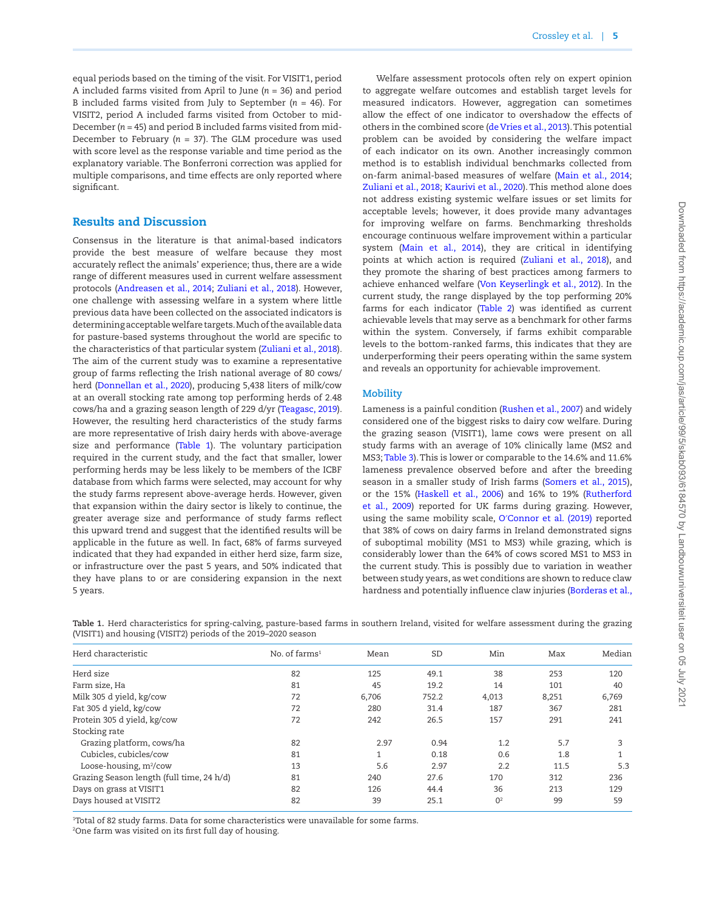equal periods based on the timing of the visit. For VISIT1, period A included farms visited from April to June (*n* = 36) and period B included farms visited from July to September (*n* = 46). For VISIT2, period A included farms visited from October to mid-December (*n* = 45) and period B included farms visited from mid-December to February (*n* = 37). The GLM procedure was used with score level as the response variable and time period as the explanatory variable. The Bonferroni correction was applied for multiple comparisons, and time effects are only reported where significant.

# Results and Discussion

Consensus in the literature is that animal-based indicators provide the best measure of welfare because they most accurately reflect the animals' experience; thus, there are a wide range of different measures used in current welfare assessment protocols [\(Andreasen et al., 2014](#page-12-8); [Zuliani et al., 2018](#page-14-6)). However, one challenge with assessing welfare in a system where little previous data have been collected on the associated indicators is determining acceptable welfare targets. Much of the available data for pasture-based systems throughout the world are specific to the characteristics of that particular system [\(Zuliani et al., 2018](#page-14-6)). The aim of the current study was to examine a representative group of farms reflecting the Irish national average of 80 cows/ herd ([Donnellan et al., 2020\)](#page-12-3), producing 5,438 liters of milk/cow at an overall stocking rate among top performing herds of 2.48 cows/ha and a grazing season length of 229 d/yr ([Teagasc, 2019](#page-13-5)). However, the resulting herd characteristics of the study farms are more representative of Irish dairy herds with above-average size and performance ([Table 1\)](#page-4-0). The voluntary participation required in the current study, and the fact that smaller, lower performing herds may be less likely to be members of the ICBF database from which farms were selected, may account for why the study farms represent above-average herds. However, given that expansion within the dairy sector is likely to continue, the greater average size and performance of study farms reflect this upward trend and suggest that the identified results will be applicable in the future as well. In fact, 68% of farms surveyed indicated that they had expanded in either herd size, farm size, or infrastructure over the past 5 years, and 50% indicated that they have plans to or are considering expansion in the next 5 years.

Welfare assessment protocols often rely on expert opinion to aggregate welfare outcomes and establish target levels for measured indicators. However, aggregation can sometimes allow the effect of one indicator to overshadow the effects of others in the combined score ([de Vries et al., 2013\)](#page-14-7). This potential problem can be avoided by considering the welfare impact of each indicator on its own. Another increasingly common method is to establish individual benchmarks collected from on-farm animal-based measures of welfare [\(Main et al., 2014](#page-13-8); [Zuliani et al., 2018](#page-14-6); [Kaurivi et al., 2020](#page-13-9)). This method alone does not address existing systemic welfare issues or set limits for acceptable levels; however, it does provide many advantages for improving welfare on farms. Benchmarking thresholds encourage continuous welfare improvement within a particular system [\(Main et al., 2014\)](#page-13-8), they are critical in identifying points at which action is required ([Zuliani et al., 2018\)](#page-14-6), and they promote the sharing of best practices among farmers to achieve enhanced welfare [\(Von Keyserlingk et al., 2012\)](#page-13-10). In the current study, the range displayed by the top performing 20% farms for each indicator ([Table 2\)](#page-5-0) was identified as current achievable levels that may serve as a benchmark for other farms within the system. Conversely, if farms exhibit comparable levels to the bottom-ranked farms, this indicates that they are underperforming their peers operating within the same system and reveals an opportunity for achievable improvement.

#### **Mobility**

Lameness is a painful condition [\(Rushen et al., 2007](#page-13-11)) and widely considered one of the biggest risks to dairy cow welfare. During the grazing season (VISIT1), lame cows were present on all study farms with an average of 10% clinically lame (MS2 and MS3; [Table 3](#page-5-1)). This is lower or comparable to the 14.6% and 11.6% lameness prevalence observed before and after the breeding season in a smaller study of Irish farms ([Somers et al., 2015\)](#page-13-12), or the 15% ([Haskell et al., 2006](#page-13-13)) and 16% to 19% [\(Rutherford](#page-13-14) [et al., 2009\)](#page-13-14) reported for UK farms during grazing. However, using the same mobility scale, O′[Connor et al. \(2019\)](#page-13-15) reported that 38% of cows on dairy farms in Ireland demonstrated signs of suboptimal mobility (MS1 to MS3) while grazing, which is considerably lower than the 64% of cows scored MS1 to MS3 in the current study. This is possibly due to variation in weather between study years, as wet conditions are shown to reduce claw hardness and potentially influence claw injuries ([Borderas et al.,](#page-12-9)

<span id="page-4-0"></span>**Table 1.** Herd characteristics for spring-calving, pasture-based farms in southern Ireland, visited for welfare assessment during the grazing (VISIT1) and housing (VISIT2) periods of the 2019–2020 season

| Herd characteristic                       | No. of farms <sup>1</sup> | Mean         | <b>SD</b> | Min            | Max   | Median |
|-------------------------------------------|---------------------------|--------------|-----------|----------------|-------|--------|
| Herd size                                 | 82                        | 125          | 49.1      | 38             | 253   | 120    |
| Farm size, Ha                             | 81                        | 45           | 19.2      | 14             | 101   | 40     |
| Milk 305 d yield, kg/cow                  | 72                        | 6,706        | 752.2     | 4,013          | 8,251 | 6,769  |
| Fat 305 d yield, kg/cow                   | 72                        | 280          | 31.4      | 187            | 367   | 281    |
| Protein 305 d yield, kg/cow               | 72                        | 242          | 26.5      | 157            | 291   | 241    |
| Stocking rate                             |                           |              |           |                |       |        |
| Grazing platform, cows/ha                 | 82                        | 2.97         | 0.94      | 1.2            | 5.7   | 3      |
| Cubicles, cubicles/cow                    | 81                        | $\mathbf{1}$ | 0.18      | 0.6            | 1.8   |        |
| Loose-housing, m <sup>2</sup> /cow        | 13                        | 5.6          | 2.97      | 2.2            | 11.5  | 5.3    |
| Grazing Season length (full time, 24 h/d) | 81                        | 240          | 27.6      | 170            | 312   | 236    |
| Days on grass at VISIT1                   | 82                        | 126          | 44.4      | 36             | 213   | 129    |
| Days housed at VISIT2                     | 82                        | 39           | 25.1      | O <sup>2</sup> | 99    | 59     |

1 Total of 82 study farms. Data for some characteristics were unavailable for some farms. 2 One farm was visited on its first full day of housing.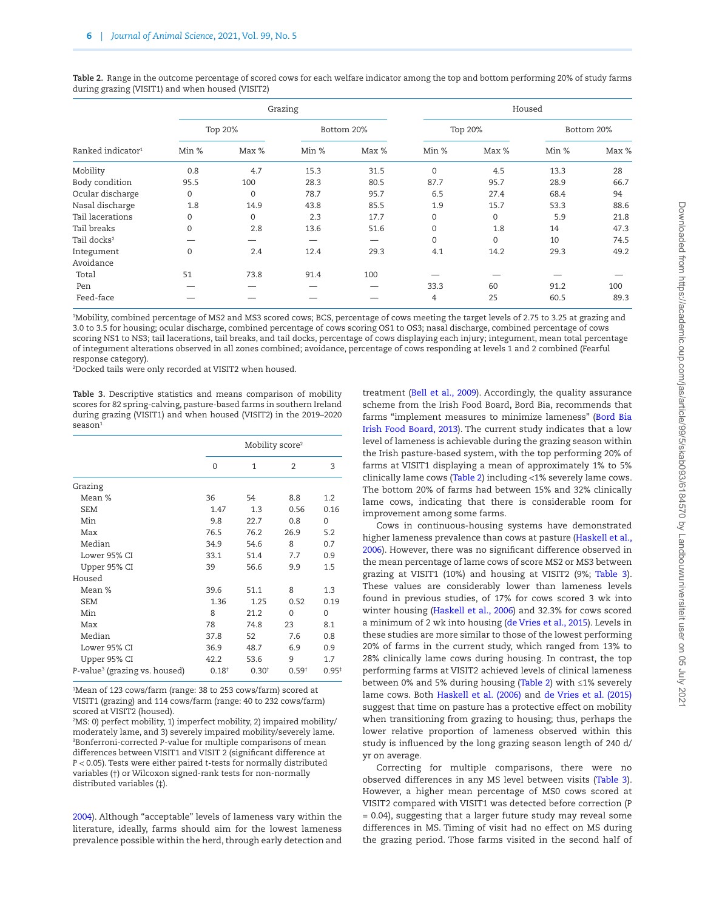|                               |              |             | Grazing |            |              |          | Housed |            |
|-------------------------------|--------------|-------------|---------|------------|--------------|----------|--------|------------|
|                               |              | Top 20%     |         | Bottom 20% |              | Top 20%  |        | Bottom 20% |
| Ranked indicator <sup>1</sup> | Min %        | Max %       | Min %   | Max %      | Min %        | Max %    | Min %  | Max %      |
| Mobility                      | 0.8          | 4.7         | 15.3    | 31.5       | $\mathbf{0}$ | 4.5      | 13.3   | 28         |
| Body condition                | 95.5         | 100         | 28.3    | 80.5       | 87.7         | 95.7     | 28.9   | 66.7       |
| Ocular discharge              | $\mathbf 0$  | $\mathbf 0$ | 78.7    | 95.7       | 6.5          | 27.4     | 68.4   | 94         |
| Nasal discharge               | 1.8          | 14.9        | 43.8    | 85.5       | 1.9          | 15.7     | 53.3   | 88.6       |
| Tail lacerations              | $\Omega$     | $\Omega$    | 2.3     | 17.7       | $\mathbf{0}$ | $\Omega$ | 5.9    | 21.8       |
| Tail breaks                   | $\Omega$     | 2.8         | 13.6    | 51.6       | $\mathbf{0}$ | 1.8      | 14     | 47.3       |
| Tail docks <sup>2</sup>       |              |             |         |            | $\mathbf 0$  | $\Omega$ | 10     | 74.5       |
| Integument                    | $\mathbf{0}$ | 2.4         | 12.4    | 29.3       | 4.1          | 14.2     | 29.3   | 49.2       |
| Avoidance                     |              |             |         |            |              |          |        |            |
| Total                         | 51           | 73.8        | 91.4    | 100        |              |          |        |            |
| Pen                           |              |             |         |            | 33.3         | 60       | 91.2   | 100        |
| Feed-face                     |              |             |         |            | 4            | 25       | 60.5   | 89.3       |

<span id="page-5-0"></span>**Table 2.** Range in the outcome percentage of scored cows for each welfare indicator among the top and bottom performing 20% of study farms during grazing (VISIT1) and when housed (VISIT2)

1 Mobility, combined percentage of MS2 and MS3 scored cows; BCS, percentage of cows meeting the target levels of 2.75 to 3.25 at grazing and 3.0 to 3.5 for housing; ocular discharge, combined percentage of cows scoring OS1 to OS3; nasal discharge, combined percentage of cows scoring NS1 to NS3; tail lacerations, tail breaks, and tail docks, percentage of cows displaying each injury; integument, mean total percentage of integument alterations observed in all zones combined; avoidance, percentage of cows responding at levels 1 and 2 combined (Fearful response category).

2 Docked tails were only recorded at VISIT2 when housed.

<span id="page-5-1"></span>**Table 3.** Descriptive statistics and means comparison of mobility scores for 82 spring-calving, pasture-based farms in southern Ireland during grazing (VISIT1) and when housed (VISIT2) in the 2019–2020 season1

|                                           |                   | Mobility score <sup>2</sup> |                   |          |
|-------------------------------------------|-------------------|-----------------------------|-------------------|----------|
|                                           | 0                 | 1                           | $\mathfrak{D}$    | 3        |
| Grazing                                   |                   |                             |                   |          |
| Mean %                                    | 36                | 54                          | 8.8               | 1.2      |
| <b>SEM</b>                                | 1.47              | 1.3                         | 0.56              | 0.16     |
| Min                                       | 9.8               | 22.7                        | 0.8               | $\Omega$ |
| Max                                       | 76.5              | 76.2                        | 26.9              | 5.2      |
| Median                                    | 34.9              | 54.6                        | 8                 | 0.7      |
| Lower 95% CI                              | 33.1              | 51.4                        | 7.7               | 0.9      |
| Upper 95% CI                              | 39                | 56.6                        | 9.9               | 1.5      |
| Housed                                    |                   |                             |                   |          |
| Mean %                                    | 39.6              | 51.1                        | 8                 | 1.3      |
| <b>SEM</b>                                | 1.36              | 1.25                        | 0.52              | 0.19     |
| Min                                       | 8                 | 21.2                        | $\Omega$          | $\Omega$ |
| Max                                       | 78                | 74.8                        | 23                | 8.1      |
| Median                                    | 37.8              | 52                          | 7.6               | 0.8      |
| Lower 95% CI                              | 36.9              | 48.7                        | 6.9               | 0.9      |
| Upper 95% CI                              | 42.2              | 53.6                        | 9                 | 1.7      |
| P-value <sup>3</sup> (grazing vs. housed) | 0.18 <sup>†</sup> | 0.30 <sup>†</sup>           | 0.59 <sup>†</sup> | $0.95*$  |

1 Mean of 123 cows/farm (range: 38 to 253 cows/farm) scored at VISIT1 (grazing) and 114 cows/farm (range: 40 to 232 cows/farm) scored at VISIT2 (housed).

2 MS: 0) perfect mobility, 1) imperfect mobility, 2) impaired mobility/ moderately lame, and 3) severely impaired mobility/severely lame. 3 Bonferroni-corrected *P*-value for multiple comparisons of mean differences between VISIT1 and VISIT 2 (significant difference at *P* < 0.05). Tests were either paired *t*-tests for normally distributed variables (†) or Wilcoxon signed-rank tests for non-normally distributed variables (‡).

[2004\)](#page-12-9). Although "acceptable" levels of lameness vary within the literature, ideally, farms should aim for the lowest lameness prevalence possible within the herd, through early detection and treatment [\(Bell et al., 2009\)](#page-12-10). Accordingly, the quality assurance scheme from the Irish Food Board, Bord Bia, recommends that farms "implement measures to minimize lameness" ([Bord Bia](#page-12-11) [Irish Food Board, 2013\)](#page-12-11). The current study indicates that a low level of lameness is achievable during the grazing season within the Irish pasture-based system, with the top performing 20% of farms at VISIT1 displaying a mean of approximately 1% to 5% clinically lame cows [\(Table 2\)](#page-5-0) including <1% severely lame cows. The bottom 20% of farms had between 15% and 32% clinically lame cows, indicating that there is considerable room for improvement among some farms.

Cows in continuous-housing systems have demonstrated higher lameness prevalence than cows at pasture [\(Haskell et al.,](#page-13-13) [2006\)](#page-13-13). However, there was no significant difference observed in the mean percentage of lame cows of score MS2 or MS3 between grazing at VISIT1 (10%) and housing at VISIT2 (9%; [Table 3\)](#page-5-1). These values are considerably lower than lameness levels found in previous studies, of 17% for cows scored 3 wk into winter housing [\(Haskell et al., 2006\)](#page-13-13) and 32.3% for cows scored a minimum of 2 wk into housing ([de Vries et al., 2015\)](#page-14-8). Levels in these studies are more similar to those of the lowest performing 20% of farms in the current study, which ranged from 13% to 28% clinically lame cows during housing. In contrast, the top performing farms at VISIT2 achieved levels of clinical lameness between 0% and 5% during housing [\(Table 2](#page-5-0)) with ≤1% severely lame cows. Both [Haskell et al. \(2006\)](#page-13-13) and [de Vries et al. \(2015\)](#page-14-8) suggest that time on pasture has a protective effect on mobility when transitioning from grazing to housing; thus, perhaps the lower relative proportion of lameness observed within this study is influenced by the long grazing season length of 240 d/ yr on average.

Correcting for multiple comparisons, there were no observed differences in any MS level between visits ([Table 3\)](#page-5-1). However, a higher mean percentage of MS0 cows scored at VISIT2 compared with VISIT1 was detected before correction (*P* = 0.04), suggesting that a larger future study may reveal some differences in MS. Timing of visit had no effect on MS during the grazing period. Those farms visited in the second half of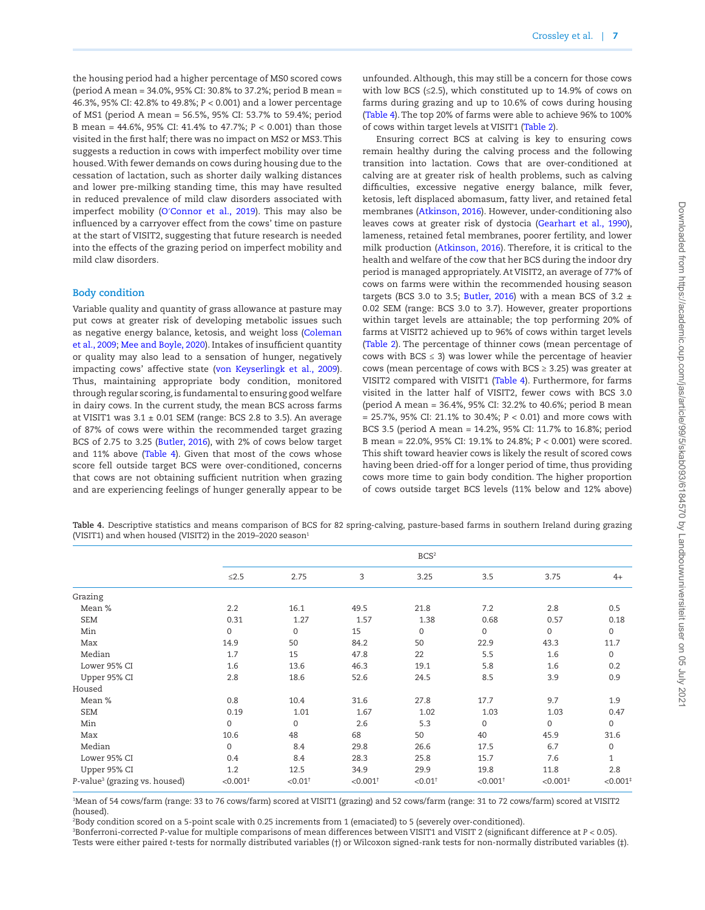the housing period had a higher percentage of MS0 scored cows (period A mean = 34.0%, 95% CI: 30.8% to 37.2%; period B mean = 46.3%, 95% CI: 42.8% to 49.8%; *P* < 0.001) and a lower percentage of MS1 (period A mean = 56.5%, 95% CI: 53.7% to 59.4%; period B mean = 44.6%, 95% CI: 41.4% to 47.7%; *P* < 0.001) than those visited in the first half; there was no impact on MS2 or MS3. This suggests a reduction in cows with imperfect mobility over time housed. With fewer demands on cows during housing due to the cessation of lactation, such as shorter daily walking distances and lower pre-milking standing time, this may have resulted in reduced prevalence of mild claw disorders associated with imperfect mobility (O′[Connor et al., 2019\)](#page-13-15). This may also be influenced by a carryover effect from the cows' time on pasture at the start of VISIT2, suggesting that future research is needed into the effects of the grazing period on imperfect mobility and mild claw disorders.

#### **Body condition**

Variable quality and quantity of grass allowance at pasture may put cows at greater risk of developing metabolic issues such as negative energy balance, ketosis, and weight loss [\(Coleman](#page-12-12) [et al., 2009](#page-12-12); [Mee and Boyle, 2020](#page-13-16)). Intakes of insufficient quantity or quality may also lead to a sensation of hunger, negatively impacting cows' affective state [\(von Keyserlingk et al., 2009\)](#page-13-17). Thus, maintaining appropriate body condition, monitored through regular scoring, is fundamental to ensuring good welfare in dairy cows. In the current study, the mean BCS across farms at VISIT1 was  $3.1 \pm 0.01$  SEM (range: BCS 2.8 to 3.5). An average of 87% of cows were within the recommended target grazing BCS of 2.75 to 3.25 [\(Butler, 2016](#page-12-7)), with 2% of cows below target and 11% above ([Table 4\)](#page-6-0). Given that most of the cows whose score fell outside target BCS were over-conditioned, concerns that cows are not obtaining sufficient nutrition when grazing and are experiencing feelings of hunger generally appear to be unfounded. Although, this may still be a concern for those cows with low BCS (≤2.5), which constituted up to 14.9% of cows on farms during grazing and up to 10.6% of cows during housing [\(Table 4](#page-6-0)). The top 20% of farms were able to achieve 96% to 100% of cows within target levels at VISIT1 [\(Table 2\)](#page-5-0).

Ensuring correct BCS at calving is key to ensuring cows remain healthy during the calving process and the following transition into lactation. Cows that are over-conditioned at calving are at greater risk of health problems, such as calving difficulties, excessive negative energy balance, milk fever, ketosis, left displaced abomasum, fatty liver, and retained fetal membranes ([Atkinson, 2016](#page-12-13)). However, under-conditioning also leaves cows at greater risk of dystocia ([Gearhart et al., 1990\)](#page-13-18), lameness, retained fetal membranes, poorer fertility, and lower milk production [\(Atkinson, 2016](#page-12-13)). Therefore, it is critical to the health and welfare of the cow that her BCS during the indoor dry period is managed appropriately. At VISIT2, an average of 77% of cows on farms were within the recommended housing season targets (BCS 3.0 to 3.5; [Butler, 2016](#page-12-7)) with a mean BCS of 3.2  $\pm$ 0.02 SEM (range: BCS 3.0 to 3.7). However, greater proportions within target levels are attainable; the top performing 20% of farms at VISIT2 achieved up to 96% of cows within target levels [\(Table 2\)](#page-5-0). The percentage of thinner cows (mean percentage of cows with BCS  $\leq$  3) was lower while the percentage of heavier cows (mean percentage of cows with BCS  $\geq$  3.25) was greater at VISIT2 compared with VISIT1 ([Table 4](#page-6-0)). Furthermore, for farms visited in the latter half of VISIT2, fewer cows with BCS 3.0 (period A mean = 36.4%, 95% CI: 32.2% to 40.6%; period B mean = 25.7%, 95% CI: 21.1% to 30.4%; *P* < 0.01) and more cows with BCS 3.5 (period A mean = 14.2%, 95% CI: 11.7% to 16.8%; period B mean = 22.0%, 95% CI: 19.1% to 24.8%; *P* < 0.001) were scored. This shift toward heavier cows is likely the result of scored cows having been dried-off for a longer period of time, thus providing cows more time to gain body condition. The higher proportion of cows outside target BCS levels (11% below and 12% above)

<span id="page-6-0"></span>**Table 4.** Descriptive statistics and means comparison of BCS for 82 spring-calving, pasture-based farms in southern Ireland during grazing (VISIT1) and when housed (VISIT2) in the 2019-2020 season<sup>1</sup>

|                                           |                        |                       |                        | BCS <sup>2</sup>      |                        |                        |                     |
|-------------------------------------------|------------------------|-----------------------|------------------------|-----------------------|------------------------|------------------------|---------------------|
|                                           | $\leq$ 2.5             | 2.75                  | 3                      | 3.25                  | 3.5                    | 3.75                   | $4+$                |
| Grazing                                   |                        |                       |                        |                       |                        |                        |                     |
| Mean %                                    | 2.2                    | 16.1                  | 49.5                   | 21.8                  | 7.2                    | 2.8                    | 0.5                 |
| <b>SEM</b>                                | 0.31                   | 1.27                  | 1.57                   | 1.38                  | 0.68                   | 0.57                   | 0.18                |
| Min                                       | 0                      | $\mathbf 0$           | 15                     | $\mathbf 0$           | 0                      | 0                      | 0                   |
| Max                                       | 14.9                   | 50                    | 84.2                   | 50                    | 22.9                   | 43.3                   | 11.7                |
| Median                                    | 1.7                    | 15                    | 47.8                   | 22                    | 5.5                    | 1.6                    | 0                   |
| Lower 95% CI                              | 1.6                    | 13.6                  | 46.3                   | 19.1                  | 5.8                    | 1.6                    | 0.2                 |
| Upper 95% CI                              | 2.8                    | 18.6                  | 52.6                   | 24.5                  | 8.5                    | 3.9                    | 0.9                 |
| Housed                                    |                        |                       |                        |                       |                        |                        |                     |
| Mean %                                    | 0.8                    | 10.4                  | 31.6                   | 27.8                  | 17.7                   | 9.7                    | 1.9                 |
| <b>SEM</b>                                | 0.19                   | 1.01                  | 1.67                   | 1.02                  | 1.03                   | 1.03                   | 0.47                |
| Min                                       | $\mathbf{O}$           | $\Omega$              | 2.6                    | 5.3                   | $\mathbf 0$            | $\Omega$               | $\mathbf 0$         |
| Max                                       | 10.6                   | 48                    | 68                     | 50                    | 40                     | 45.9                   | 31.6                |
| Median                                    | $\mathbf{O}$           | 8.4                   | 29.8                   | 26.6                  | 17.5                   | 6.7                    | $\mathsf{O}\xspace$ |
| Lower 95% CI                              | 0.4                    | 8.4                   | 28.3                   | 25.8                  | 15.7                   | 7.6                    | $\mathbf{1}$        |
| Upper 95% CI                              | 1.2                    | 12.5                  | 34.9                   | 29.9                  | 19.8                   | 11.8                   | 2.8                 |
| P-value <sup>3</sup> (grazing vs. housed) | $< 0.001$ <sup>#</sup> | $< 0.01$ <sup>+</sup> | $< 0.001$ <sup>+</sup> | $< 0.01$ <sup>+</sup> | $< 0.001$ <sup>+</sup> | $< 0.001$ <sup>#</sup> | < 0.001             |

1 Mean of 54 cows/farm (range: 33 to 76 cows/farm) scored at VISIT1 (grazing) and 52 cows/farm (range: 31 to 72 cows/farm) scored at VISIT2 (housed).

2 Body condition scored on a 5-point scale with 0.25 increments from 1 (emaciated) to 5 (severely over-conditioned).

3 Bonferroni-corrected *P*-value for multiple comparisons of mean differences between VISIT1 and VISIT 2 (significant difference at *P* < 0.05). Tests were either paired *t*-tests for normally distributed variables (†) or Wilcoxon signed-rank tests for non-normally distributed variables (‡).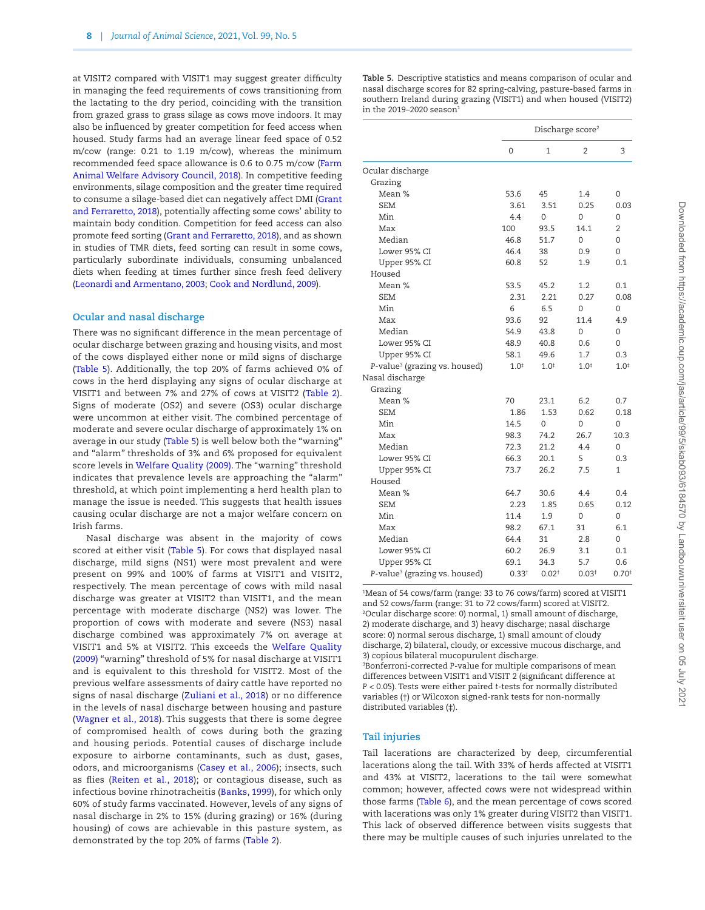at VISIT2 compared with VISIT1 may suggest greater difficulty in managing the feed requirements of cows transitioning from the lactating to the dry period, coinciding with the transition from grazed grass to grass silage as cows move indoors. It may also be influenced by greater competition for feed access when housed. Study farms had an average linear feed space of 0.52 m/cow (range: 0.21 to 1.19 m/cow), whereas the minimum recommended feed space allowance is 0.6 to 0.75 m/cow [\(Farm](#page-13-19) [Animal Welfare Advisory Council, 2018\)](#page-13-19). In competitive feeding environments, silage composition and the greater time required to consume a silage-based diet can negatively affect DMI [\(Grant](#page-13-20) [and Ferraretto, 2018](#page-13-20)), potentially affecting some cows' ability to maintain body condition. Competition for feed access can also promote feed sorting ([Grant and Ferraretto, 2018](#page-13-20)), and as shown in studies of TMR diets, feed sorting can result in some cows, particularly subordinate individuals, consuming unbalanced diets when feeding at times further since fresh feed delivery [\(Leonardi and Armentano, 2003](#page-13-21); [Cook and Nordlund, 2009\)](#page-12-14).

#### **Ocular and nasal discharge**

There was no significant difference in the mean percentage of ocular discharge between grazing and housing visits, and most of the cows displayed either none or mild signs of discharge ([Table 5](#page-7-0)). Additionally, the top 20% of farms achieved 0% of cows in the herd displaying any signs of ocular discharge at VISIT1 and between 7% and 27% of cows at VISIT2 ([Table 2\)](#page-5-0). Signs of moderate (OS2) and severe (OS3) ocular discharge were uncommon at either visit. The combined percentage of moderate and severe ocular discharge of approximately 1% on average in our study [\(Table 5\)](#page-7-0) is well below both the "warning" and "alarm" thresholds of 3% and 6% proposed for equivalent score levels in [Welfare Quality \(2009\)](#page-14-5). The "warning" threshold indicates that prevalence levels are approaching the "alarm" threshold, at which point implementing a herd health plan to manage the issue is needed. This suggests that health issues causing ocular discharge are not a major welfare concern on Irish farms.

Nasal discharge was absent in the majority of cows scored at either visit [\(Table 5](#page-7-0)). For cows that displayed nasal discharge, mild signs (NS1) were most prevalent and were present on 99% and 100% of farms at VISIT1 and VISIT2, respectively. The mean percentage of cows with mild nasal discharge was greater at VISIT2 than VISIT1, and the mean percentage with moderate discharge (NS2) was lower. The proportion of cows with moderate and severe (NS3) nasal discharge combined was approximately 7% on average at VISIT1 and 5% at VISIT2. This exceeds the [Welfare Quality](#page-14-5) [\(2009\)](#page-14-5) "warning" threshold of 5% for nasal discharge at VISIT1 and is equivalent to this threshold for VISIT2. Most of the previous welfare assessments of dairy cattle have reported no signs of nasal discharge [\(Zuliani et al., 2018\)](#page-14-6) or no difference in the levels of nasal discharge between housing and pasture ([Wagner et al., 2018](#page-14-4)). This suggests that there is some degree of compromised health of cows during both the grazing and housing periods. Potential causes of discharge include exposure to airborne contaminants, such as dust, gases, odors, and microorganisms ([Casey et al., 2006](#page-12-1)); insects, such as flies ([Reiten et al., 2018](#page-13-22)); or contagious disease, such as infectious bovine rhinotracheitis ([Banks, 1999](#page-12-15)), for which only 60% of study farms vaccinated. However, levels of any signs of nasal discharge in 2% to 15% (during grazing) or 16% (during housing) of cows are achievable in this pasture system, as demonstrated by the top 20% of farms ([Table 2](#page-5-0)).

<span id="page-7-0"></span>**Table 5.** Descriptive statistics and means comparison of ocular and nasal discharge scores for 82 spring-calving, pasture-based farms in southern Ireland during grazing (VISIT1) and when housed (VISIT2) in the 2019–2020 season $1$ 

|                                           |            | Discharge score <sup>2</sup> |           |           |
|-------------------------------------------|------------|------------------------------|-----------|-----------|
|                                           | 0          | 1                            | 2         | 3         |
| Ocular discharge                          |            |                              |           |           |
| Grazing                                   |            |                              |           |           |
| Mean %                                    | 53.6       | 45                           | 1.4       | 0         |
| <b>SEM</b>                                | 3.61       | 3.51                         | 0.25      | 0.03      |
| Min                                       | 4.4        | $\Omega$                     | $\Omega$  | 0         |
| Max                                       | 100        | 93.5                         | 14.1      | 2         |
| Median                                    | 46.8       | 51.7                         | 0         | 0         |
| Lower 95% CI                              | 46.4       | 38                           | 0.9       | $\Omega$  |
| Upper 95% CI                              | 60.8       | 52                           | 1.9       | 0.1       |
| Housed                                    |            |                              |           |           |
| Mean %                                    | 53.5       | 45.2                         | 1.2       | 0.1       |
| <b>SEM</b>                                | 2.31       | 2.21                         | 0.27      | 0.08      |
| Min                                       | 6          | 6.5                          | $\Omega$  | 0         |
| Max                                       | 93.6       | 92                           | 11.4      | 4.9       |
| Median                                    | 54.9       | 43.8                         | $\Omega$  | 0         |
| Lower 95% CI                              | 48.9       | 40.8                         | 0.6       | 0         |
| Upper 95% CI                              | 58.1       | 49.6                         | 1.7       | 0.3       |
| P-value <sup>3</sup> (grazing vs. housed) | $1.0^{+}$  | $1.0^{*}$                    | $1.0^{*}$ | $1.0^{+}$ |
| Nasal discharge                           |            |                              |           |           |
| Grazing                                   |            |                              |           |           |
| Mean %                                    | 70         | 23.1                         | 6.2       | 0.7       |
| <b>SEM</b>                                | 1.86       | 1.53                         | 0.62      | 0.18      |
| Min                                       | 14.5       | $\Omega$                     | $\Omega$  | 0         |
| Max                                       | 98.3       | 74.2                         | 26.7      | 10.3      |
| Median                                    | 72.3       | 21.2                         | 4.4       | 0         |
| Lower 95% CI                              | 66.3       | 20.1                         | 5         | 0.3       |
| Upper 95% CI                              | 73.7       | 26.2                         | 7.5       | 1         |
| Housed                                    |            |                              |           |           |
| Mean %                                    | 64.7       | 30.6                         | 4.4       | 0.4       |
| <b>SEM</b>                                | 2.23       | 1.85                         | 0.65      | 0.12      |
| Min                                       | 11.4       | 1.9                          | 0         | 0         |
| Max                                       | 98.2       | 67.1                         | 31        | 6.1       |
| Median                                    | 64.4       | 31                           | 2.8       | 0         |
| Lower 95% CI                              | 60.2       | 26.9                         | 3.1       | 0.1       |
| Upper 95% CI                              | 69.1       | 34.3                         | 5.7       | 0.6       |
| P-value <sup>3</sup> (grazing vs. housed) | $0.33^{+}$ | 0.02 <sup>†</sup>            | $0.03*$   | 0.70      |

1 Mean of 54 cows/farm (range: 33 to 76 cows/farm) scored at VISIT1 and 52 cows/farm (range: 31 to 72 cows/farm) scored at VISIT2. 2 Ocular discharge score: 0) normal, 1) small amount of discharge, 2) moderate discharge, and 3) heavy discharge; nasal discharge score: 0) normal serous discharge, 1) small amount of cloudy discharge, 2) bilateral, cloudy, or excessive mucous discharge, and 3) copious bilateral mucopurulent discharge. 3 Bonferroni-corrected *P*-value for multiple comparisons of mean differences between VISIT1 and VISIT 2 (significant difference at *P* < 0.05). Tests were either paired *t*-tests for normally distributed variables (†) or Wilcoxon signed-rank tests for non-normally distributed variables (‡).

#### **Tail injuries**

Tail lacerations are characterized by deep, circumferential lacerations along the tail. With 33% of herds affected at VISIT1 and 43% at VISIT2, lacerations to the tail were somewhat common; however, affected cows were not widespread within those farms [\(Table 6](#page-8-0)), and the mean percentage of cows scored with lacerations was only 1% greater during VISIT2 than VISIT1. This lack of observed difference between visits suggests that there may be multiple causes of such injuries unrelated to the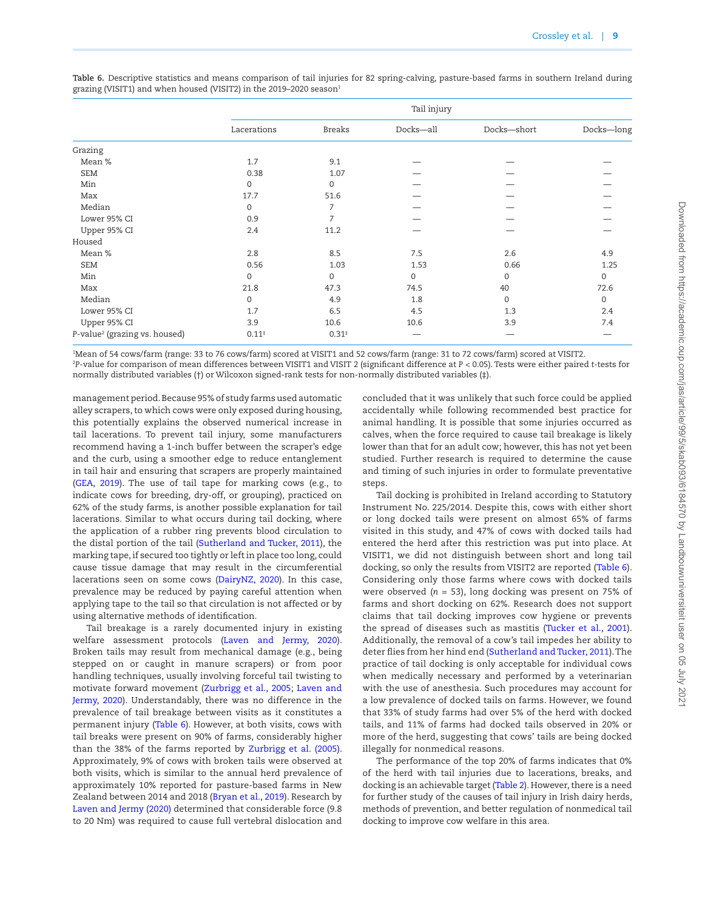|                                           |             |               | Tail injury |                  |             |
|-------------------------------------------|-------------|---------------|-------------|------------------|-------------|
|                                           | Lacerations | <b>Breaks</b> | Docks-all   | Docks-short      | Docks-long  |
| Grazing                                   |             |               |             |                  |             |
| Mean %                                    | 1.7         | 9.1           |             |                  |             |
| <b>SEM</b>                                | 0.38        | 1.07          |             |                  |             |
| Min                                       | $\mathbf 0$ | $\mathbf 0$   |             |                  |             |
| Max                                       | 17.7        | 51.6          |             |                  |             |
| Median                                    | $\Omega$    | 7             |             |                  |             |
| Lower 95% CI                              | 0.9         | 7             |             |                  |             |
| Upper 95% CI                              | 2.4         | 11.2          |             |                  |             |
| Housed                                    |             |               |             |                  |             |
| Mean %                                    | 2.8         | 8.5           | 7.5         | 2.6              | 4.9         |
| <b>SEM</b>                                | 0.56        | 1.03          | 1.53        | 0.66             | 1.25        |
| Min                                       | $\mathbf 0$ | $\mathbf 0$   | 0           | $\boldsymbol{0}$ | $\mathbf 0$ |
| Max                                       | 21.8        | 47.3          | 74.5        | 40               | 72.6        |
| Median                                    | $\mathbf 0$ | 4.9           | 1.8         | $\mathbf{0}$     | $\mathbf 0$ |
| Lower 95% CI                              | 1.7         | 6.5           | 4.5         | 1.3              | 2.4         |
| Upper 95% CI                              | 3.9         | 10.6          | 10.6        | 3.9              | 7.4         |
| P-value <sup>2</sup> (grazing vs. housed) | $0.11*$     | $0.31*$       |             |                  |             |

<span id="page-8-0"></span>**Table 6.** Descriptive statistics and means comparison of tail injuries for 82 spring-calving, pasture-based farms in southern Ireland during grazing (VISIT1) and when housed (VISIT2) in the 2019-2020 season<sup>1</sup>

1 Mean of 54 cows/farm (range: 33 to 76 cows/farm) scored at VISIT1 and 52 cows/farm (range: 31 to 72 cows/farm) scored at VISIT2.

2 *P*-value for comparison of mean differences between VISIT1 and VISIT 2 (significant difference at *P* < 0.05). Tests were either paired *t*-tests for normally distributed variables (†) or Wilcoxon signed-rank tests for non-normally distributed variables (‡).

management period. Because 95% of study farms used automatic alley scrapers, to which cows were only exposed during housing, this potentially explains the observed numerical increase in tail lacerations. To prevent tail injury, some manufacturers recommend having a 1-inch buffer between the scraper's edge and the curb, using a smoother edge to reduce entanglement in tail hair and ensuring that scrapers are properly maintained ([GEA, 2019\)](#page-13-23). The use of tail tape for marking cows (e.g., to indicate cows for breeding, dry-off, or grouping), practiced on 62% of the study farms, is another possible explanation for tail lacerations. Similar to what occurs during tail docking, where the application of a rubber ring prevents blood circulation to the distal portion of the tail ([Sutherland and Tucker, 2011](#page-13-24)), the marking tape, if secured too tightly or left in place too long, could cause tissue damage that may result in the circumferential lacerations seen on some cows ([DairyNZ, 2020\)](#page-12-16). In this case, prevalence may be reduced by paying careful attention when applying tape to the tail so that circulation is not affected or by using alternative methods of identification.

Tail breakage is a rarely documented injury in existing welfare assessment protocols [\(Laven and Jermy, 2020\)](#page-13-25). Broken tails may result from mechanical damage (e.g., being stepped on or caught in manure scrapers) or from poor handling techniques, usually involving forceful tail twisting to motivate forward movement [\(Zurbrigg et al., 2005;](#page-14-9) [Laven and](#page-13-25) [Jermy, 2020](#page-13-25)). Understandably, there was no difference in the prevalence of tail breakage between visits as it constitutes a permanent injury ([Table 6](#page-8-0)). However, at both visits, cows with tail breaks were present on 90% of farms, considerably higher than the 38% of the farms reported by [Zurbrigg et al. \(2005\)](#page-14-9). Approximately, 9% of cows with broken tails were observed at both visits, which is similar to the annual herd prevalence of approximately 10% reported for pasture-based farms in New Zealand between 2014 and 2018 ([Bryan et al., 2019\)](#page-12-17). Research by [Laven and Jermy \(2020\)](#page-13-25) determined that considerable force (9.8 to 20 Nm) was required to cause full vertebral dislocation and

concluded that it was unlikely that such force could be applied accidentally while following recommended best practice for animal handling. It is possible that some injuries occurred as calves, when the force required to cause tail breakage is likely lower than that for an adult cow; however, this has not yet been studied. Further research is required to determine the cause and timing of such injuries in order to formulate preventative steps.

Tail docking is prohibited in Ireland according to Statutory Instrument No. 225/2014. Despite this, cows with either short or long docked tails were present on almost 65% of farms visited in this study, and 47% of cows with docked tails had entered the herd after this restriction was put into place. At VISIT1, we did not distinguish between short and long tail docking, so only the results from VISIT2 are reported [\(Table 6\)](#page-8-0). Considering only those farms where cows with docked tails were observed (*n* = 53), long docking was present on 75% of farms and short docking on 62%. Research does not support claims that tail docking improves cow hygiene or prevents the spread of diseases such as mastitis [\(Tucker et al., 2001\)](#page-13-26). Additionally, the removal of a cow's tail impedes her ability to deter flies from her hind end ([Sutherland and Tucker, 2011](#page-13-24)). The practice of tail docking is only acceptable for individual cows when medically necessary and performed by a veterinarian with the use of anesthesia. Such procedures may account for a low prevalence of docked tails on farms. However, we found that 33% of study farms had over 5% of the herd with docked tails, and 11% of farms had docked tails observed in 20% or more of the herd, suggesting that cows' tails are being docked illegally for nonmedical reasons.

The performance of the top 20% of farms indicates that 0% of the herd with tail injuries due to lacerations, breaks, and docking is an achievable target [\(Table 2\)](#page-5-0). However, there is a need for further study of the causes of tail injury in Irish dairy herds, methods of prevention, and better regulation of nonmedical tail docking to improve cow welfare in this area.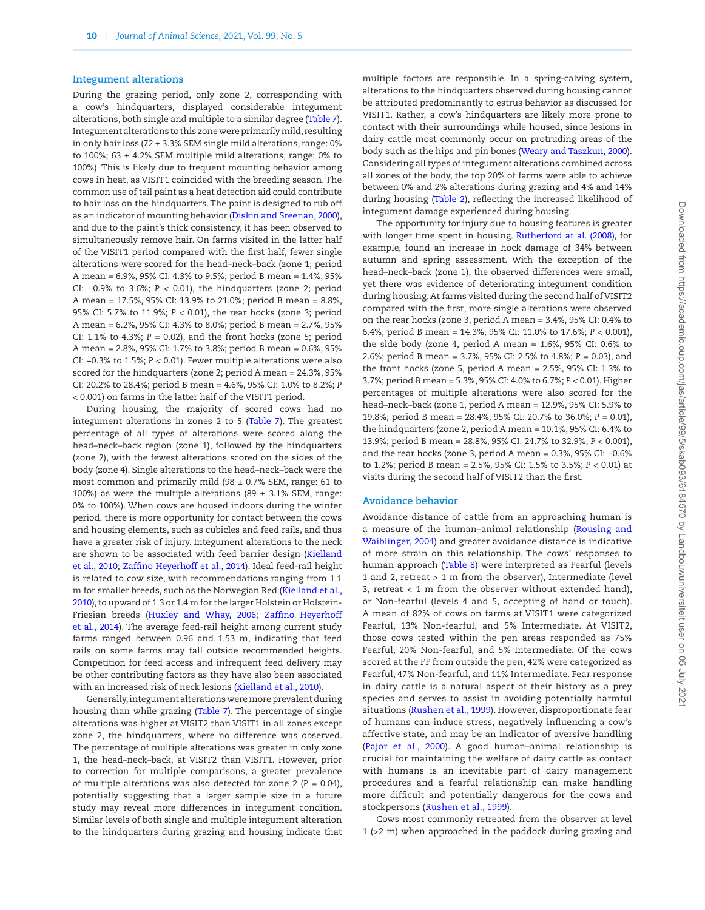#### **Integument alterations**

During the grazing period, only zone 2, corresponding with a cow's hindquarters, displayed considerable integument alterations, both single and multiple to a similar degree ([Table 7\)](#page-10-0). Integument alterations to this zone were primarily mild, resulting in only hair loss (72  $\pm$  3.3% SEM single mild alterations, range: 0% to 100%; 63  $\pm$  4.2% SEM multiple mild alterations, range: 0% to 100%). This is likely due to frequent mounting behavior among cows in heat, as VISIT1 coincided with the breeding season. The common use of tail paint as a heat detection aid could contribute to hair loss on the hindquarters. The paint is designed to rub off as an indicator of mounting behavior ([Diskin and Sreenan, 2000](#page-12-18)), and due to the paint's thick consistency, it has been observed to simultaneously remove hair. On farms visited in the latter half of the VISIT1 period compared with the first half, fewer single alterations were scored for the head–neck–back (zone 1; period A mean = 6.9%, 95% CI: 4.3% to 9.5%; period B mean = 1.4%, 95% CI: −0.9% to 3.6%; *P* < 0.01), the hindquarters (zone 2; period A mean = 17.5%, 95% CI: 13.9% to 21.0%; period B mean = 8.8%, 95% CI: 5.7% to 11.9%; *P* < 0.01), the rear hocks (zone 3; period A mean = 6.2%, 95% CI: 4.3% to 8.0%; period B mean = 2.7%, 95% CI: 1.1% to 4.3%; *P* = 0.02), and the front hocks (zone 5; period A mean = 2.8%, 95% CI: 1.7% to 3.8%; period B mean = 0.6%, 95% CI: −0.3% to 1.5%; *P* < 0.01). Fewer multiple alterations were also scored for the hindquarters (zone 2; period A mean = 24.3%, 95% CI: 20.2% to 28.4%; period B mean = 4.6%, 95% CI: 1.0% to 8.2%; *P* < 0.001) on farms in the latter half of the VISIT1 period.

During housing, the majority of scored cows had no integument alterations in zones 2 to 5 [\(Table 7](#page-10-0)). The greatest percentage of all types of alterations were scored along the head–neck–back region (zone 1), followed by the hindquarters (zone 2), with the fewest alterations scored on the sides of the body (zone 4). Single alterations to the head–neck–back were the most common and primarily mild (98  $\pm$  0.7% SEM, range: 61 to 100%) as were the multiple alterations (89  $\pm$  3.1% SEM, range: 0% to 100%). When cows are housed indoors during the winter period, there is more opportunity for contact between the cows and housing elements, such as cubicles and feed rails, and thus have a greater risk of injury. Integument alterations to the neck are shown to be associated with feed barrier design ([Kielland](#page-13-27) [et al., 2010](#page-13-27); [Zaffino Heyerhoff et al., 2014](#page-14-10)). Ideal feed-rail height is related to cow size, with recommendations ranging from 1.1 m for smaller breeds, such as the Norwegian Red [\(Kielland et al.,](#page-13-27) [2010\)](#page-13-27), to upward of 1.3 or 1.4 m for the larger Holstein or Holstein-Friesian breeds [\(Huxley and Whay, 2006;](#page-13-28) [Zaffino Heyerhoff](#page-14-10) [et al., 2014](#page-14-10)). The average feed-rail height among current study farms ranged between 0.96 and 1.53 m, indicating that feed rails on some farms may fall outside recommended heights. Competition for feed access and infrequent feed delivery may be other contributing factors as they have also been associated with an increased risk of neck lesions ([Kielland et al., 2010\)](#page-13-27).

Generally, integument alterations were more prevalent during housing than while grazing ([Table 7](#page-10-0)). The percentage of single alterations was higher at VISIT2 than VISIT1 in all zones except zone 2, the hindquarters, where no difference was observed. The percentage of multiple alterations was greater in only zone 1, the head–neck–back, at VISIT2 than VISIT1. However, prior to correction for multiple comparisons, a greater prevalence of multiple alterations was also detected for zone 2 ( $P = 0.04$ ), potentially suggesting that a larger sample size in a future study may reveal more differences in integument condition. Similar levels of both single and multiple integument alteration to the hindquarters during grazing and housing indicate that multiple factors are responsible. In a spring-calving system, alterations to the hindquarters observed during housing cannot be attributed predominantly to estrus behavior as discussed for VISIT1. Rather, a cow's hindquarters are likely more prone to contact with their surroundings while housed, since lesions in dairy cattle most commonly occur on protruding areas of the body such as the hips and pin bones ([Weary and Taszkun, 2000\)](#page-14-11). Considering all types of integument alterations combined across all zones of the body, the top 20% of farms were able to achieve between 0% and 2% alterations during grazing and 4% and 14% during housing [\(Table 2\)](#page-5-0), reflecting the increased likelihood of integument damage experienced during housing.

The opportunity for injury due to housing features is greater with longer time spent in housing. [Rutherford at al. \(2008\)](#page-13-29), for example, found an increase in hock damage of 34% between autumn and spring assessment. With the exception of the head–neck–back (zone 1), the observed differences were small, yet there was evidence of deteriorating integument condition during housing. At farms visited during the second half of VISIT2 compared with the first, more single alterations were observed on the rear hocks (zone 3, period A mean = 3.4%, 95% CI: 0.4% to 6.4%; period B mean = 14.3%, 95% CI: 11.0% to 17.6%; *P* < 0.001), the side body (zone 4, period A mean = 1.6%, 95% CI: 0.6% to 2.6%; period B mean = 3.7%, 95% CI: 2.5% to 4.8%; *P* = 0.03), and the front hocks (zone 5, period A mean = 2.5%, 95% CI: 1.3% to 3.7%; period B mean = 5.3%, 95% CI: 4.0% to 6.7%; *P* < 0.01). Higher percentages of multiple alterations were also scored for the head–neck–back (zone 1, period A mean = 12.9%, 95% CI: 5.9% to 19.8%; period B mean = 28.4%, 95% CI: 20.7% to 36.0%; *P* = 0.01), the hindquarters (zone 2, period A mean = 10.1%, 95% CI: 6.4% to 13.9%; period B mean = 28.8%, 95% CI: 24.7% to 32.9%; *P* < 0.001), and the rear hocks (zone 3, period A mean = 0.3%, 95% CI: −0.6% to 1.2%; period B mean = 2.5%, 95% CI: 1.5% to 3.5%; *P* < 0.01) at visits during the second half of VISIT2 than the first.

#### **Avoidance behavior**

Avoidance distance of cattle from an approaching human is a measure of the human–animal relationship ([Rousing and](#page-13-7) [Waiblinger, 2004](#page-13-7)) and greater avoidance distance is indicative of more strain on this relationship. The cows' responses to human approach ([Table 8\)](#page-11-0) were interpreted as Fearful (levels 1 and 2, retreat > 1 m from the observer), Intermediate (level 3, retreat < 1 m from the observer without extended hand), or Non-fearful (levels 4 and 5, accepting of hand or touch). A mean of 82% of cows on farms at VISIT1 were categorized Fearful, 13% Non-fearful, and 5% Intermediate. At VISIT2, those cows tested within the pen areas responded as 75% Fearful, 20% Non-fearful, and 5% Intermediate. Of the cows scored at the FF from outside the pen, 42% were categorized as Fearful, 47% Non-fearful, and 11% Intermediate. Fear response in dairy cattle is a natural aspect of their history as a prey species and serves to assist in avoiding potentially harmful situations [\(Rushen et al., 1999\)](#page-13-30). However, disproportionate fear of humans can induce stress, negatively influencing a cow's affective state, and may be an indicator of aversive handling ([Pajor et al., 2000\)](#page-13-31). A good human–animal relationship is crucial for maintaining the welfare of dairy cattle as contact with humans is an inevitable part of dairy management procedures and a fearful relationship can make handling more difficult and potentially dangerous for the cows and stockpersons ([Rushen et al., 1999\)](#page-13-30).

Cows most commonly retreated from the observer at level 1 (>2 m) when approached in the paddock during grazing and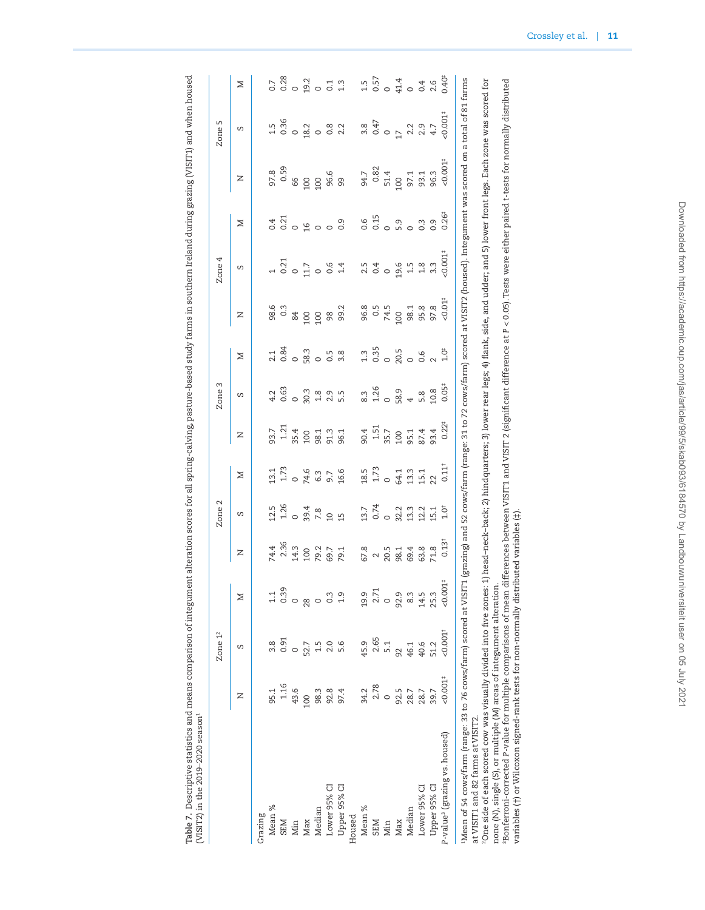<span id="page-10-0"></span>

|                                                                                                                                                                                                                     |         | Zone 1 <sup>2</sup> |                        |                                                             | Zone <sub>2</sub>                                       |                                                                                              |                                                                         | Zone <sub>3</sub> |                                                                                |                                            | Zone 4                                                        |                            |                                                                                                                                        | Zone <sub>5</sub>                                                     |                         |
|---------------------------------------------------------------------------------------------------------------------------------------------------------------------------------------------------------------------|---------|---------------------|------------------------|-------------------------------------------------------------|---------------------------------------------------------|----------------------------------------------------------------------------------------------|-------------------------------------------------------------------------|-------------------|--------------------------------------------------------------------------------|--------------------------------------------|---------------------------------------------------------------|----------------------------|----------------------------------------------------------------------------------------------------------------------------------------|-----------------------------------------------------------------------|-------------------------|
|                                                                                                                                                                                                                     | z       | S                   | Z                      | z                                                           | S                                                       | Z                                                                                            | z                                                                       | S                 | ⊠                                                                              | z                                          | S                                                             | ⊠                          | z                                                                                                                                      | S                                                                     | Z                       |
| Grazing                                                                                                                                                                                                             |         |                     |                        |                                                             |                                                         |                                                                                              |                                                                         |                   |                                                                                |                                            |                                                               |                            |                                                                                                                                        |                                                                       |                         |
| Mean %                                                                                                                                                                                                              | 95.1    | 3.8                 | 1.1                    |                                                             |                                                         |                                                                                              |                                                                         | 4.2               | 2.1                                                                            |                                            |                                                               |                            |                                                                                                                                        |                                                                       | 0.7                     |
| <b>SEM</b>                                                                                                                                                                                                          | 1.16    | 0.91                | 0.39                   | 74.4<br>2.36<br>2.90<br>29.7<br>69.7                        | $11.26$<br>$1.26$<br>$7.8$<br>$7.8$<br>$1.26$<br>$1.36$ | $13.73$<br>$1.73$<br>$0 4.6$<br>$0 5.7$<br>$0.6$<br>$16.6$                                   | $93.71$<br>$1.21$<br>$1.4$<br>$1.5$<br>$1.3$<br>$1.3$<br>$1.3$<br>$1.3$ | 0.63              | 0.84                                                                           | 98.6<br>0.3                                | $\begin{array}{c}\n 1 \\  0.21 \\  0.17 \\  0.6\n\end{array}$ | $3.21$<br>$0.21$<br>$0.9$  | 97.8<br>0.59                                                                                                                           | $1.5$<br>0.36                                                         | 0.28                    |
| Min                                                                                                                                                                                                                 | 43.6    |                     | $\circ$                |                                                             |                                                         |                                                                                              |                                                                         |                   |                                                                                | 84                                         |                                                               |                            | 99                                                                                                                                     |                                                                       |                         |
| Max                                                                                                                                                                                                                 | 100     | 52.7                | 28                     |                                                             |                                                         |                                                                                              |                                                                         | 0.33895           | $\frac{3}{2}$<br>$\frac{3}{2}$<br>$\frac{3}{2}$<br>$\frac{3}{2}$               |                                            |                                                               |                            |                                                                                                                                        | $\frac{2}{9}$ $\frac{2}{9}$ $\frac{8}{9}$ $\frac{8}{9}$ $\frac{2}{9}$ | $0.2$<br>$0.2$<br>$0.1$ |
| Median                                                                                                                                                                                                              | 98.3    | 1.5                 | $\circ$                |                                                             |                                                         |                                                                                              |                                                                         |                   |                                                                                | $\frac{100}{100}$                          |                                                               | $\circ$ $\circ$            | 100<br>100<br>96.6                                                                                                                     |                                                                       |                         |
| Lower 95% CI                                                                                                                                                                                                        | 92.8    | 2.0                 | $0.\overline{3}$       |                                                             |                                                         |                                                                                              |                                                                         |                   |                                                                                | 98                                         |                                                               |                            |                                                                                                                                        |                                                                       |                         |
| Upper 95% CI                                                                                                                                                                                                        | 97.4    | 5.6                 | 1.9                    | 79.1                                                        |                                                         |                                                                                              | 96.1                                                                    |                   | $3.\overline{8}$                                                               | 99.2                                       | 1.4                                                           | $0.\overline{9}$           | 99                                                                                                                                     |                                                                       | 1.3                     |
| Housed                                                                                                                                                                                                              |         |                     |                        |                                                             |                                                         |                                                                                              |                                                                         |                   |                                                                                |                                            |                                                               |                            |                                                                                                                                        |                                                                       |                         |
| Mean %                                                                                                                                                                                                              | 34.2    | 45.9                | 19.9                   |                                                             |                                                         |                                                                                              |                                                                         |                   |                                                                                |                                            |                                                               |                            | 94.7                                                                                                                                   |                                                                       | 1.5                     |
| SEM                                                                                                                                                                                                                 | 2.78    | 2.65                | 2.71                   | $678$<br>$0.5$<br>$0.5$<br>$0.5$<br>$0.5$<br>$0.5$<br>$0.5$ |                                                         |                                                                                              | 90.4<br>1.51<br>35.7<br>100                                             | 8.3<br>1.26<br>0  |                                                                                | 96.3<br>0.5<br>100<br>100                  | $2.5$<br>$0.4$                                                | 0.6<br>0.15                | $0.82$<br>51.4                                                                                                                         | $3.8$<br>0.47<br>0.47                                                 | 0.57                    |
| Min                                                                                                                                                                                                                 | $\circ$ | 5.1                 | $\circ$                |                                                             |                                                         |                                                                                              |                                                                         |                   |                                                                                |                                            |                                                               | $\circ$                    |                                                                                                                                        |                                                                       |                         |
| Max                                                                                                                                                                                                                 | 92.5    | 92                  | 92.9                   |                                                             |                                                         |                                                                                              |                                                                         | 58.9<br>4         |                                                                                |                                            |                                                               | 5.9                        | 100                                                                                                                                    |                                                                       |                         |
| Median                                                                                                                                                                                                              | 28.7    | 46.1                | $8.\overline{3}$       |                                                             |                                                         |                                                                                              |                                                                         |                   |                                                                                |                                            | $19.6$<br>$1.5$                                               | $\circ$                    |                                                                                                                                        | $2.2$<br>$2.9$                                                        | 0414                    |
| Lower 95% CI                                                                                                                                                                                                        | 28.7    | 40.6                | 14.5                   | 63.8                                                        | 13.74<br>0.02.13.14<br>14.14.14.15.14                   | $\begin{array}{cc}\n18.5 \\ 1.73 \\ 0 & 64.1 \\ 15.1 \\ 15.1 \\ 0.11^{\dagger}\n\end{array}$ | 95.1<br>87.4<br>93.4<br>0.22 <sup>+</sup>                               | 5.8               | $1.3$<br>$0.35$<br>$0.5$<br>$0.5$<br>$0.5$<br>$0.5$<br>$0.5$<br>$0.5$<br>$0.5$ | 98.1<br>95.8<br>97.8<br><0.01 <sup>#</sup> | $1.8$                                                         | 0.3                        | 97.1<br>93.1                                                                                                                           |                                                                       |                         |
| Upper 95% CI                                                                                                                                                                                                        | 39.7    | 51.2                | 25.3                   | 71.8                                                        |                                                         |                                                                                              |                                                                         | 10.8              |                                                                                |                                            | $3.\overline{3}$                                              | $0.9$<br>$0.26^{\ddagger}$ | 96.3                                                                                                                                   | 4.7                                                                   | $2.6$<br>0.40           |
| P-value <sup>3</sup> (grazing vs. housed)                                                                                                                                                                           | 50.001  | 50.001              | $< 0.001$ <sup>#</sup> | 0.13 <sup>†</sup>                                           | $1.0$ <sup>†</sup>                                      |                                                                                              |                                                                         | 0.05 <sup>†</sup> |                                                                                |                                            | 50.001                                                        |                            | 50.001                                                                                                                                 | 50.001                                                                |                         |
| Mean of 54 cows/farm (range: 33 to 76 cows/farm) scored at VISIT1 (grazing) and 52 cows/farm (range: 31 to 72 cows/farm) scored at VISIT2 (housed). Integument was scored on a total of 81 farms                    |         |                     |                        |                                                             |                                                         |                                                                                              |                                                                         |                   |                                                                                |                                            |                                                               |                            |                                                                                                                                        |                                                                       |                         |
| at VISIT1 and 82 farms at VISIT2.                                                                                                                                                                                   |         |                     |                        |                                                             |                                                         |                                                                                              |                                                                         |                   |                                                                                |                                            |                                                               |                            |                                                                                                                                        |                                                                       |                         |
| <sup>2</sup> One side of each scored cow was visually divided into five zones: 1) head-neck-back, 2) hindquarters; 3) lower rear legs; 4) flank, side, and udder; and 5) lower front legs. Each zone was scored for |         |                     |                        |                                                             |                                                         |                                                                                              |                                                                         |                   |                                                                                |                                            |                                                               |                            |                                                                                                                                        |                                                                       |                         |
| none (N), single (S), or multiple (M) areas of integument alteration.                                                                                                                                               |         |                     |                        |                                                             |                                                         |                                                                                              |                                                                         |                   |                                                                                |                                            |                                                               |                            |                                                                                                                                        |                                                                       |                         |
| <sup>3</sup> Bonferroni-corrected P-value for multiple comparisons of mean                                                                                                                                          |         |                     |                        |                                                             |                                                         |                                                                                              |                                                                         |                   |                                                                                |                                            |                                                               |                            | differences between VISIT1 and VISIT 2 (significant difference at P < 0.05). Tests were either paired t-tests for normally distributed |                                                                       |                         |
| variables (†) or Wilcoxon signed-rank tests for non-normally distributed variables (‡)                                                                                                                              |         |                     |                        |                                                             |                                                         |                                                                                              |                                                                         |                   |                                                                                |                                            |                                                               |                            |                                                                                                                                        |                                                                       |                         |

Table 7. Descriptive statistics and means comparison of integument alteration scores for all spring-calving, pasture-based study farms in southern Ireland during grazing (VISIT1) and when housed **Table 7.** Descriptive statistics and means comparison of integument alteration scores for all spring-calving, pasture-based study farms in southern Ireland during grazing (VISIT1) and when housed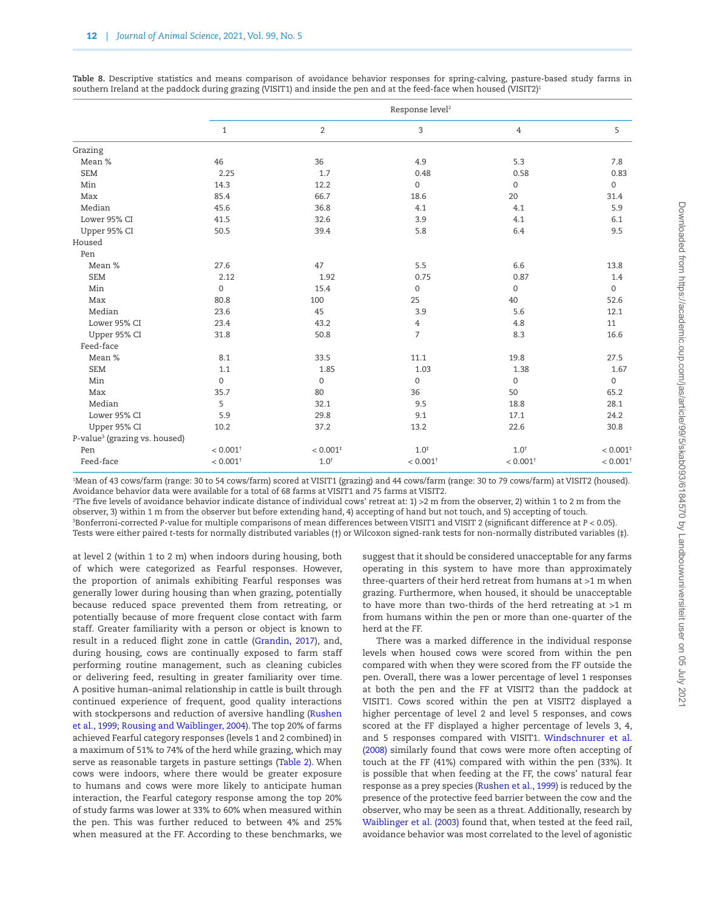|                                           |                        |                        | Response level <sup>2</sup> |                        |                        |
|-------------------------------------------|------------------------|------------------------|-----------------------------|------------------------|------------------------|
|                                           | $\mathbf{1}$           | 2                      | 3                           | $\overline{4}$         | 5                      |
| Grazing                                   |                        |                        |                             |                        |                        |
| Mean %                                    | 46                     | 36                     | 4.9                         | 5.3                    | 7.8                    |
| <b>SEM</b>                                | 2.25                   | 1.7                    | 0.48                        | 0.58                   | 0.83                   |
| Min                                       | 14.3                   | 12.2                   | $\mathbf 0$                 | $\mathsf{O}\xspace$    | $\mathsf{O}\xspace$    |
| Max                                       | 85.4                   | 66.7                   | 18.6                        | 20                     | 31.4                   |
| Median                                    | 45.6                   | 36.8                   | 4.1                         | 4.1                    | 5.9                    |
| Lower 95% CI                              | 41.5                   | 32.6                   | 3.9                         | 4.1                    | 6.1                    |
| Upper 95% CI                              | 50.5                   | 39.4                   | 5.8                         | 6.4                    | 9.5                    |
| Housed                                    |                        |                        |                             |                        |                        |
| Pen                                       |                        |                        |                             |                        |                        |
| Mean %                                    | 27.6                   | 47                     | 5.5                         | 6.6                    | 13.8                   |
| <b>SEM</b>                                | 2.12                   | 1.92                   | 0.75                        | 0.87                   | 1.4                    |
| Min                                       | $\mathbf{0}$           | 15.4                   | $\mathsf{O}\xspace$         | $\mathbf 0$            | $\mathsf{O}$           |
| Max                                       | 80.8                   | 100                    | 25                          | 40                     | 52.6                   |
| Median                                    | 23.6                   | 45                     | 3.9                         | 5.6                    | 12.1                   |
| Lower 95% CI                              | 23.4                   | 43.2                   | $\overline{4}$              | 4.8                    | 11                     |
| Upper 95% CI                              | 31.8                   | 50.8                   | $\overline{7}$              | 8.3                    | 16.6                   |
| Feed-face                                 |                        |                        |                             |                        |                        |
| Mean %                                    | 8.1                    | 33.5                   | 11.1                        | 19.8                   | 27.5                   |
| <b>SEM</b>                                | 1.1                    | 1.85                   | 1.03                        | 1.38                   | 1.67                   |
| Min                                       | $\mathbf{0}$           | $\mathbf 0$            | $\boldsymbol{0}$            | $\mathbf 0$            | 0                      |
| Max                                       | 35.7                   | 80                     | 36                          | 50                     | 65.2                   |
| Median                                    | 5                      | 32.1                   | 9.5                         | 18.8                   | 28.1                   |
| Lower 95% CI                              | 5.9                    | 29.8                   | 9.1                         | 17.1                   | 24.2                   |
| Upper 95% CI                              | 10.2                   | 37.2                   | 13.2                        | 22.6                   | 30.8                   |
| P-value <sup>3</sup> (grazing vs. housed) |                        |                        |                             |                        |                        |
| Pen                                       | $< 0.001$ <sup>+</sup> | $< 0.001$ <sup>+</sup> | $1.0^{+}$                   | $1.0^{+}$              | < 0.001                |
| Feed-face                                 | $< 0.001$ <sup>+</sup> | $1.0^{+}$              | $< 0.001$ <sup>+</sup>      | $< 0.001$ <sup>+</sup> | $< 0.001$ <sup>+</sup> |

<span id="page-11-0"></span>**Table 8.** Descriptive statistics and means comparison of avoidance behavior responses for spring-calving, pasture-based study farms in southern Ireland at the paddock during grazing (VISIT1) and inside the pen and at the feed-face when housed (VISIT2)<sup>1</sup>

1 Mean of 43 cows/farm (range: 30 to 54 cows/farm) scored at VISIT1 (grazing) and 44 cows/farm (range: 30 to 79 cows/farm) at VISIT2 (housed). Avoidance behavior data were available for a total of 68 farms at VISIT1 and 75 farms at VISIT2.

2 The five levels of avoidance behavior indicate distance of individual cows' retreat at: 1) >2 m from the observer, 2) within 1 to 2 m from the observer, 3) within 1 m from the observer but before extending hand, 4) accepting of hand but not touch, and 5) accepting of touch. 3 Bonferroni-corrected *P*-value for multiple comparisons of mean differences between VISIT1 and VISIT 2 (significant difference at *P* < 0.05). Tests were either paired *t*-tests for normally distributed variables (†) or Wilcoxon signed-rank tests for non-normally distributed variables (‡).

at level 2 (within 1 to 2 m) when indoors during housing, both of which were categorized as Fearful responses. However, the proportion of animals exhibiting Fearful responses was generally lower during housing than when grazing, potentially because reduced space prevented them from retreating, or potentially because of more frequent close contact with farm staff. Greater familiarity with a person or object is known to result in a reduced flight zone in cattle [\(Grandin, 2017\)](#page-13-32), and, during housing, cows are continually exposed to farm staff performing routine management, such as cleaning cubicles or delivering feed, resulting in greater familiarity over time. A positive human–animal relationship in cattle is built through continued experience of frequent, good quality interactions with stockpersons and reduction of aversive handling [\(Rushen](#page-13-30) [et al., 1999;](#page-13-30) [Rousing and Waiblinger, 2004](#page-13-7)). The top 20% of farms achieved Fearful category responses (levels 1 and 2 combined) in a maximum of 51% to 74% of the herd while grazing, which may serve as reasonable targets in pasture settings [\(Table 2](#page-5-0)). When cows were indoors, where there would be greater exposure to humans and cows were more likely to anticipate human interaction, the Fearful category response among the top 20% of study farms was lower at 33% to 60% when measured within the pen. This was further reduced to between 4% and 25% when measured at the FF. According to these benchmarks, we suggest that it should be considered unacceptable for any farms operating in this system to have more than approximately three-quarters of their herd retreat from humans at >1 m when grazing. Furthermore, when housed, it should be unacceptable to have more than two-thirds of the herd retreating at >1 m from humans within the pen or more than one-quarter of the herd at the FF.

There was a marked difference in the individual response levels when housed cows were scored from within the pen compared with when they were scored from the FF outside the pen. Overall, there was a lower percentage of level 1 responses at both the pen and the FF at VISIT2 than the paddock at VISIT1. Cows scored within the pen at VISIT2 displayed a higher percentage of level 2 and level 5 responses, and cows scored at the FF displayed a higher percentage of levels 3, 4, and 5 responses compared with VISIT1. [Windschnurer et al.](#page-14-12) [\(2008\)](#page-14-12) similarly found that cows were more often accepting of touch at the FF (41%) compared with within the pen (33%). It is possible that when feeding at the FF, the cows' natural fear response as a prey species [\(Rushen et al., 1999\)](#page-13-30) is reduced by the presence of the protective feed barrier between the cow and the observer, who may be seen as a threat. Additionally, research by [Waiblinger et al. \(2003\)](#page-14-13) found that, when tested at the feed rail, avoidance behavior was most correlated to the level of agonistic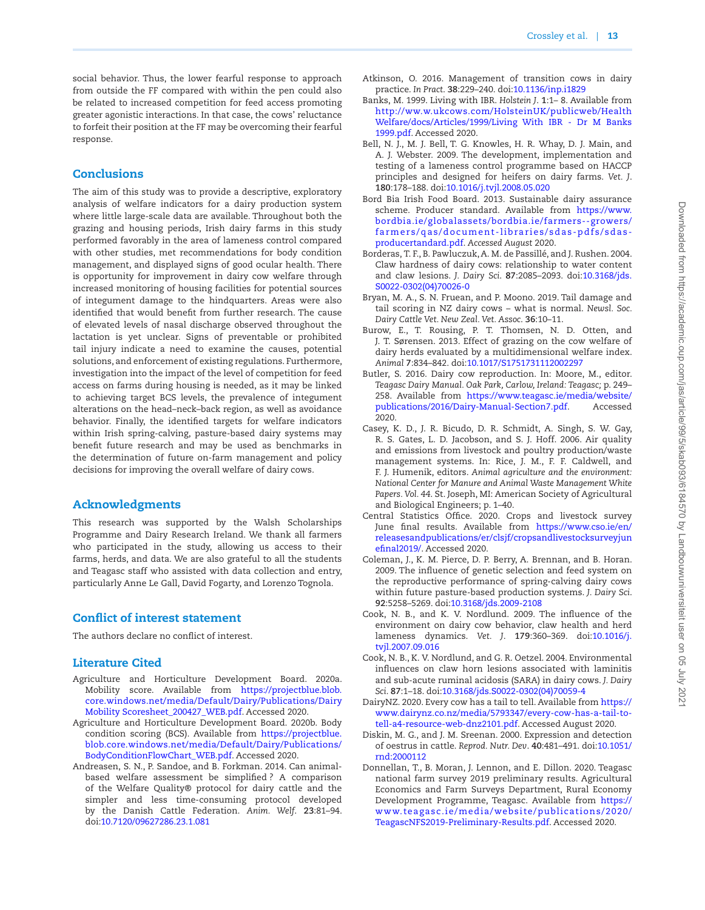social behavior. Thus, the lower fearful response to approach from outside the FF compared with within the pen could also be related to increased competition for feed access promoting greater agonistic interactions. In that case, the cows' reluctance to forfeit their position at the FF may be overcoming their fearful response.

# **Conclusions**

The aim of this study was to provide a descriptive, exploratory analysis of welfare indicators for a dairy production system where little large-scale data are available. Throughout both the grazing and housing periods, Irish dairy farms in this study performed favorably in the area of lameness control compared with other studies, met recommendations for body condition management, and displayed signs of good ocular health. There is opportunity for improvement in dairy cow welfare through increased monitoring of housing facilities for potential sources of integument damage to the hindquarters. Areas were also identified that would benefit from further research. The cause of elevated levels of nasal discharge observed throughout the lactation is yet unclear. Signs of preventable or prohibited tail injury indicate a need to examine the causes, potential solutions, and enforcement of existing regulations. Furthermore, investigation into the impact of the level of competition for feed access on farms during housing is needed, as it may be linked to achieving target BCS levels, the prevalence of integument alterations on the head–neck–back region, as well as avoidance behavior. Finally, the identified targets for welfare indicators within Irish spring-calving, pasture-based dairy systems may benefit future research and may be used as benchmarks in the determination of future on-farm management and policy decisions for improving the overall welfare of dairy cows.

# Acknowledgments

This research was supported by the Walsh Scholarships Programme and Dairy Research Ireland. We thank all farmers who participated in the study, allowing us access to their farms, herds, and data. We are also grateful to all the students and Teagasc staff who assisted with data collection and entry, particularly Anne Le Gall, David Fogarty, and Lorenzo Tognola.

# Conflict of interest statement

The authors declare no conflict of interest.

# Literature Cited

- <span id="page-12-5"></span>Agriculture and Horticulture Development Board. 2020a. Mobility score. Available from [https://projectblue.blob.](https://projectblue.blob.core.windows.net/media/Default/Dairy/Publications/Dairy Mobility Scoresheet_200427_WEB.pdf﻿) [core.windows.net/media/Default/Dairy/Publications/Dairy](https://projectblue.blob.core.windows.net/media/Default/Dairy/Publications/Dairy Mobility Scoresheet_200427_WEB.pdf﻿) [Mobility Scoresheet\\_200427\\_WEB.pdf](https://projectblue.blob.core.windows.net/media/Default/Dairy/Publications/Dairy Mobility Scoresheet_200427_WEB.pdf﻿). Accessed 2020.
- <span id="page-12-6"></span>Agriculture and Horticulture Development Board. 2020b. Body condition scoring (BCS). Available from [https://projectblue.](https://projectblue.blob.core.windows.net/media/Default/Dairy/Publications/BodyConditionFlowChart_WEB.pdf) [blob.core.windows.net/media/Default/Dairy/Publications/](https://projectblue.blob.core.windows.net/media/Default/Dairy/Publications/BodyConditionFlowChart_WEB.pdf) [BodyConditionFlowChart\\_WEB.pdf](https://projectblue.blob.core.windows.net/media/Default/Dairy/Publications/BodyConditionFlowChart_WEB.pdf). Accessed 2020.
- <span id="page-12-8"></span>Andreasen, S. N., P. Sandoe, and B. Forkman. 2014. Can animalbased welfare assessment be simplified ? A comparison of the Welfare Quality® protocol for dairy cattle and the simpler and less time-consuming protocol developed by the Danish Cattle Federation. *Anim. Welf*. **23**:81–94. doi:[10.7120/09627286.23.1.081](https://doi.org/10.7120/09627286.23.1.081)
- <span id="page-12-13"></span>Atkinson, O. 2016. Management of transition cows in dairy practice. *In Pract*. **38**:229–240. doi[:10.1136/inp.i1829](https://doi.org/10.1136/inp.i1829)
- <span id="page-12-15"></span>Banks, M. 1999. Living with IBR. *Holstein J*. **1**:1– 8. Available from [http://ww.w.ukcows.com/HolsteinUK/publicweb/Health](http://ww.w.ukcows.com/HolsteinUK/publicweb/Health%20Welfare/docs/Articles/1999/Living%20With%20IBR%20-%20Dr%20M%20Banks%201999.pdf) [Welfare/docs/Articles/1999/Living With IBR - Dr M Banks](http://ww.w.ukcows.com/HolsteinUK/publicweb/Health%20Welfare/docs/Articles/1999/Living%20With%20IBR%20-%20Dr%20M%20Banks%201999.pdf) [1999.pdf](http://ww.w.ukcows.com/HolsteinUK/publicweb/Health%20Welfare/docs/Articles/1999/Living%20With%20IBR%20-%20Dr%20M%20Banks%201999.pdf). Accessed 2020.
- <span id="page-12-10"></span>Bell, N. J., M. J. Bell, T. G. Knowles, H. R. Whay, D. J. Main, and A. J. Webster. 2009. The development, implementation and testing of a lameness control programme based on HACCP principles and designed for heifers on dairy farms. *Vet. J*. **180**:178–188. doi:[10.1016/j.tvjl.2008.05.020](https://doi.org/10.1016/j.tvjl.2008.05.020)
- <span id="page-12-11"></span>Bord Bia Irish Food Board. 2013. Sustainable dairy assurance scheme. Producer standard. Available from [https://www.](https://www.bordbia.ie/globalassets/bordbia.ie/farmers--growers/farmers/qas/document-libraries/sdas-pdfs/sdas-producertandard.pdf) [bordbia.ie/globalassets/bordbia.ie/farmers--growers/](https://www.bordbia.ie/globalassets/bordbia.ie/farmers--growers/farmers/qas/document-libraries/sdas-pdfs/sdas-producertandard.pdf) [farmers/qas/document-libraries/sdas-pdfs/sdas](https://www.bordbia.ie/globalassets/bordbia.ie/farmers--growers/farmers/qas/document-libraries/sdas-pdfs/sdas-producertandard.pdf)[producertandard.pdf.](https://www.bordbia.ie/globalassets/bordbia.ie/farmers--growers/farmers/qas/document-libraries/sdas-pdfs/sdas-producertandard.pdf) *Accessed August* 2020.
- <span id="page-12-9"></span>Borderas, T. F., B. Pawluczuk, A. M. de Passillé, and J. Rushen. 2004. Claw hardness of dairy cows: relationship to water content and claw lesions. *J. Dairy Sci*. **87**:2085–2093. doi[:10.3168/jds.](https://doi.org/10.3168/jds.S0022-0302(04)70026-0) [S0022-0302\(04\)70026-0](https://doi.org/10.3168/jds.S0022-0302(04)70026-0)
- <span id="page-12-17"></span>Bryan, M. A., S. N. Fruean, and P. Moono. 2019. Tail damage and tail scoring in NZ dairy cows – what is normal. *Newsl. Soc. Dairy Cattle Vet. New Zeal. Vet. Assoc*. **36**:10–11.
- <span id="page-12-2"></span>Burow, E., T. Rousing, P. T. Thomsen, N. D. Otten, and J. T. Sørensen. 2013. Effect of grazing on the cow welfare of dairy herds evaluated by a multidimensional welfare index. *Animal* **7**:834–842. doi:[10.1017/S1751731112002297](https://doi.org/10.1017/S1751731112002297)
- <span id="page-12-7"></span>Butler, S. 2016. Dairy cow reproduction. In: Moore, M., editor. *Teagasc Dairy Manual. Oak Park, Carlow, Ireland: Teagasc;* p. 249– 258. Available from [https://www.teagasc.ie/media/website/](https://www.teagasc.ie/media/website/publications/2016/Dairy-Manual-Section7.pdf) [publications/2016/Dairy-Manual-Section7.pdf.](https://www.teagasc.ie/media/website/publications/2016/Dairy-Manual-Section7.pdf) Accessed 2020.
- <span id="page-12-1"></span>Casey, K. D., J. R. Bicudo, D. R. Schmidt, A. Singh, S. W. Gay, R. S. Gates, L. D. Jacobson, and S. J. Hoff. 2006. Air quality and emissions from livestock and poultry production/waste management systems. In: Rice, J. M., F. F. Caldwell, and F. J. Humenik, editors. *Animal agriculture and the environment: National Center for Manure and Animal Waste Management White Papers. Vol. 44*. St. Joseph, MI: American Society of Agricultural and Biological Engineers; p. 1–40.
- <span id="page-12-4"></span>Central Statistics Office. 2020. Crops and livestock survey June final results. Available from [https://www.cso.ie/en/](https://www.cso.ie/en/releasesandpublications/er/clsjf/cropsandlivestocksurveyjunefinal2019/. Accessed 2020) [releasesandpublications/er/clsjf/cropsandlivestocksurveyjun](https://www.cso.ie/en/releasesandpublications/er/clsjf/cropsandlivestocksurveyjunefinal2019/. Accessed 2020) [efinal2019/](https://www.cso.ie/en/releasesandpublications/er/clsjf/cropsandlivestocksurveyjunefinal2019/. Accessed 2020). Accessed 2020.
- <span id="page-12-12"></span>Coleman, J., K. M. Pierce, D. P. Berry, A. Brennan, and B. Horan. 2009. The influence of genetic selection and feed system on the reproductive performance of spring-calving dairy cows within future pasture-based production systems. *J. Dairy Sci*. **92**:5258–5269. doi:[10.3168/jds.2009-2108](https://doi.org/10.3168/jds.2009-2108)
- <span id="page-12-14"></span>Cook, N. B., and K. V. Nordlund. 2009. The influence of the environment on dairy cow behavior, claw health and herd lameness dynamics. *Vet. J*. **179**:360–369. doi:[10.1016/j.](https://doi.org/10.1016/j.tvjl.2007.09.016) [tvjl.2007.09.016](https://doi.org/10.1016/j.tvjl.2007.09.016)
- <span id="page-12-0"></span>Cook, N. B., K. V. Nordlund, and G. R. Oetzel. 2004. Environmental influences on claw horn lesions associated with laminitis and sub-acute ruminal acidosis (SARA) in dairy cows. *J. Dairy Sci*. **87**:1–18. doi[:10.3168/jds.S0022-0302\(04\)70059-4](https://doi.org/10.3168/jds.S0022-0302(04)70059-4)
- <span id="page-12-16"></span>DairyNZ. 2020. Every cow has a tail to tell. Available from [https://](https://www.dairynz.co.nz/media/5793347/every-cow-has-a-tail-to-tell-a4-resource-web-dnz2101.pdf) [www.dairynz.co.nz/media/5793347/every-cow-has-a-tail-to](https://www.dairynz.co.nz/media/5793347/every-cow-has-a-tail-to-tell-a4-resource-web-dnz2101.pdf)[tell-a4-resource-web-dnz2101.pdf.](https://www.dairynz.co.nz/media/5793347/every-cow-has-a-tail-to-tell-a4-resource-web-dnz2101.pdf) Accessed August 2020.
- <span id="page-12-18"></span>Diskin, M. G., and J. M. Sreenan. 2000. Expression and detection of oestrus in cattle. *Reprod. Nutr. Dev*. **40**:481–491. doi[:10.1051/](https://doi.org/10.1051/rnd:2000112) [rnd:2000112](https://doi.org/10.1051/rnd:2000112)
- <span id="page-12-3"></span>Donnellan, T., B. Moran, J. Lennon, and E. Dillon. 2020. Teagasc national farm survey 2019 preliminary results. Agricultural Economics and Farm Surveys Department, Rural Economy Development Programme, Teagasc. Available from [https://](https://www.teagasc.ie/media/website/publications/2020/TeagascNFS2019-Preliminary-Results.pdf) [www.teagasc.ie/media/website/publications/2020/](https://www.teagasc.ie/media/website/publications/2020/TeagascNFS2019-Preliminary-Results.pdf) [TeagascNFS2019-Preliminary-Results.pdf](https://www.teagasc.ie/media/website/publications/2020/TeagascNFS2019-Preliminary-Results.pdf). Accessed 2020.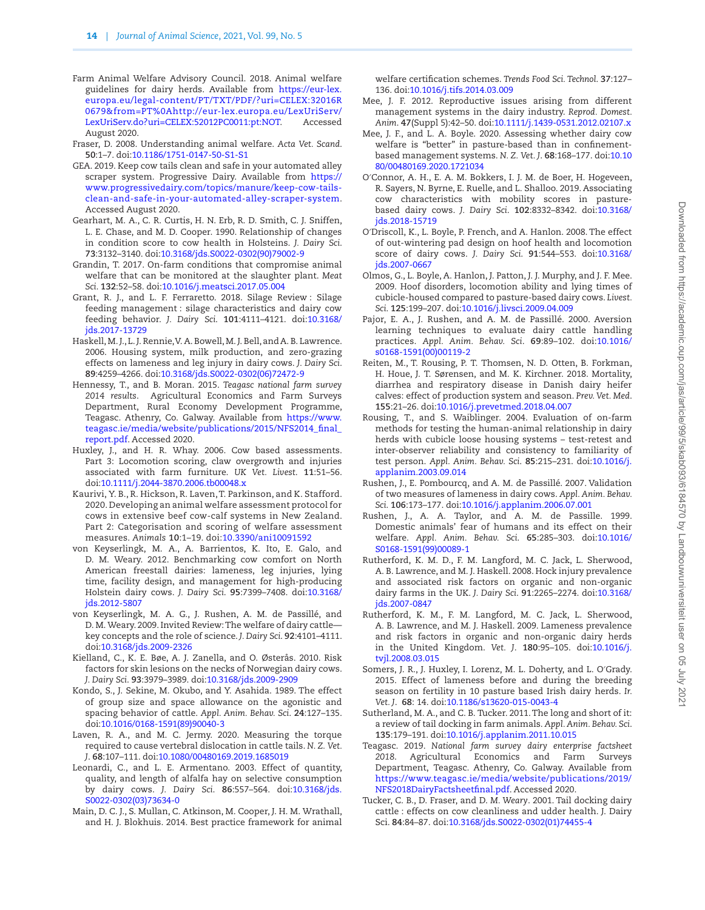- <span id="page-13-19"></span>Farm Animal Welfare Advisory Council. 2018. Animal welfare guidelines for dairy herds. Available from [https://eur-lex.](https://eur-lex.europa.eu/legal-content/PT/TXT/PDF/?uri=CELEX:32016R0679&from=PT%0Ahttp://eur-lex.europa.eu/LexUriServ/LexUriServ.do?uri=CELEX:52012PC0011:pt:NOT) [europa.eu/legal-content/PT/TXT/PDF/?uri=CELEX:32016R](https://eur-lex.europa.eu/legal-content/PT/TXT/PDF/?uri=CELEX:32016R0679&from=PT%0Ahttp://eur-lex.europa.eu/LexUriServ/LexUriServ.do?uri=CELEX:52012PC0011:pt:NOT) [0679&from=PT%0Ahttp://eur-lex.europa.eu/LexUriServ/](https://eur-lex.europa.eu/legal-content/PT/TXT/PDF/?uri=CELEX:32016R0679&from=PT%0Ahttp://eur-lex.europa.eu/LexUriServ/LexUriServ.do?uri=CELEX:52012PC0011:pt:NOT) [LexUriServ.do?uri=CELEX:52012PC0011:pt:NOT](https://eur-lex.europa.eu/legal-content/PT/TXT/PDF/?uri=CELEX:32016R0679&from=PT%0Ahttp://eur-lex.europa.eu/LexUriServ/LexUriServ.do?uri=CELEX:52012PC0011:pt:NOT). Accessed August 2020.
- <span id="page-13-0"></span>Fraser, D. 2008. Understanding animal welfare. *Acta Vet. Scand*. **50**:1–7. doi:[10.1186/1751-0147-50-S1-S1](https://doi.org/10.1186/1751-0147-50-S1-S1)
- <span id="page-13-23"></span>GEA. 2019. Keep cow tails clean and safe in your automated alley scraper system. Progressive Dairy. Available from [https://](https://www.progressivedairy.com/topics/manure/keep-cow-tails-clean-and-safe-in-your-automated-alley-scraper-system) [www.progressivedairy.com/topics/manure/keep-cow-tails](https://www.progressivedairy.com/topics/manure/keep-cow-tails-clean-and-safe-in-your-automated-alley-scraper-system)[clean-and-safe-in-your-automated-alley-scraper-system](https://www.progressivedairy.com/topics/manure/keep-cow-tails-clean-and-safe-in-your-automated-alley-scraper-system). Accessed August 2020.
- <span id="page-13-18"></span>Gearhart, M. A., C. R. Curtis, H. N. Erb, R. D. Smith, C. J. Sniffen, L. E. Chase, and M. D. Cooper. 1990. Relationship of changes in condition score to cow health in Holsteins. *J. Dairy Sci*. **73**:3132–3140. doi:[10.3168/jds.S0022-0302\(90\)79002-9](https://doi.org/10.3168/jds.S0022-0302(90)79002-9)
- <span id="page-13-32"></span>Grandin, T. 2017. On-farm conditions that compromise animal welfare that can be monitored at the slaughter plant. *Meat Sci*. **132**:52–58. doi:[10.1016/j.meatsci.2017.05.004](https://doi.org/10.1016/j.meatsci.2017.05.004)
- <span id="page-13-20"></span>Grant, R. J., and L. F. Ferraretto. 2018. Silage Review : Silage feeding management : silage characteristics and dairy cow feeding behavior. *J. Dairy Sci*. **101**:4111–4121. doi[:10.3168/](https://doi.org/10.3168/jds.2017-13729) [jds.2017-13729](https://doi.org/10.3168/jds.2017-13729)
- <span id="page-13-13"></span>Haskell, M. J., L. J. Rennie, V. A. Bowell, M. J. Bell, and A. B. Lawrence. 2006. Housing system, milk production, and zero-grazing effects on lameness and leg injury in dairy cows. *J. Dairy Sci*. **89**:4259–4266. doi:[10.3168/jds.S0022-0302\(06\)72472-9](https://doi.org/10.3168/jds.S0022-0302(06)72472-9)
- <span id="page-13-6"></span>Hennessy, T., and B. Moran. 2015. *Teagasc national farm survey 2014 results*. Agricultural Economics and Farm Surveys Department, Rural Economy Development Programme, Teagasc. Athenry, Co. Galway. Available from [https://www.](https://www.teagasc.ie/media/website/publications/2015/NFS2014_final_report.pdf) [teagasc.ie/media/website/publications/2015/NFS2014\\_final\\_](https://www.teagasc.ie/media/website/publications/2015/NFS2014_final_report.pdf) [report.pdf.](https://www.teagasc.ie/media/website/publications/2015/NFS2014_final_report.pdf) Accessed 2020.
- <span id="page-13-28"></span>Huxley, J., and H. R. Whay. 2006. Cow based assessments. Part 3: Locomotion scoring, claw overgrowth and injuries associated with farm furniture. *UK Vet. Livest*. **11**:51–56. doi:[10.1111/j.2044-3870.2006.tb00048.x](https://doi.org/10.1111/j.2044-3870.2006.tb00048.x)
- <span id="page-13-9"></span>Kaurivi, Y. B., R. Hickson, R. Laven, T. Parkinson, and K. Stafford. 2020. Developing an animal welfare assessment protocol for cows in extensive beef cow-calf systems in New Zealand. Part 2: Categorisation and scoring of welfare assessment measures. *Animals* **10**:1–19. doi[:10.3390/ani10091592](https://doi.org/10.3390/ani10091592)
- <span id="page-13-10"></span>von Keyserlingk, M. A., A. Barrientos, K. Ito, E. Galo, and D. M. Weary. 2012. Benchmarking cow comfort on North American freestall dairies: lameness, leg injuries, lying time, facility design, and management for high-producing Holstein dairy cows. *J. Dairy Sci*. **95**:7399–7408. doi[:10.3168/](https://doi.org/10.3168/jds.2012-5807) [jds.2012-5807](https://doi.org/10.3168/jds.2012-5807)
- <span id="page-13-17"></span>von Keyserlingk, M. A. G., J. Rushen, A. M. de Passillé, and D. M. Weary. 2009. Invited Review: The welfare of dairy cattle key concepts and the role of science. *J. Dairy Sci*. **92**:4101–4111. doi:[10.3168/jds.2009-2326](https://doi.org/10.3168/jds.2009-2326)
- <span id="page-13-27"></span>Kielland, C., K. E. Bøe, A. J. Zanella, and O. Østerås. 2010. Risk factors for skin lesions on the necks of Norwegian dairy cows. *J. Dairy Sci*. **93**:3979–3989. doi:[10.3168/jds.2009-2909](https://doi.org/10.3168/jds.2009-2909)
- <span id="page-13-4"></span>Kondo, S., J. Sekine, M. Okubo, and Y. Asahida. 1989. The effect of group size and space allowance on the agonistic and spacing behavior of cattle. *Appl. Anim. Behav. Sci*. **24**:127–135. doi:[10.1016/0168-1591\(89\)90040-3](https://doi.org/10.1016/0168-1591(89)90040-3)
- <span id="page-13-25"></span>Laven, R. A., and M. C. Jermy. 2020. Measuring the torque required to cause vertebral dislocation in cattle tails. *N. Z. Vet. J*. **68**:107–111. doi:[10.1080/00480169.2019.1685019](https://doi.org/10.1080/00480169.2019.1685019)
- <span id="page-13-21"></span>Leonardi, C., and L. E. Armentano. 2003. Effect of quantity, quality, and length of alfalfa hay on selective consumption by dairy cows. *J. Dairy Sci*. **86**:557–564. doi[:10.3168/jds.](https://doi.org/10.3168/jds.S0022-0302(03)73634-0) [S0022-0302\(03\)73634-0](https://doi.org/10.3168/jds.S0022-0302(03)73634-0)
- <span id="page-13-8"></span>Main, D. C. J., S. Mullan, C. Atkinson, M. Cooper, J. H. M. Wrathall, and H. J. Blokhuis. 2014. Best practice framework for animal

welfare certification schemes. *Trends Food Sci. Technol*. **37**:127– 136. doi[:10.1016/j.tifs.2014.03.009](https://doi.org/10.1016/j.tifs.2014.03.009)

- <span id="page-13-2"></span>Mee, J. F. 2012. Reproductive issues arising from different management systems in the dairy industry. *Reprod. Domest. Anim*. **47**(Suppl 5):42–50. doi[:10.1111/j.1439-0531.2012.02107.x](https://doi.org/10.1111/j.1439-0531.2012.02107.x)
- <span id="page-13-16"></span>Mee, J. F., and L. A. Boyle. 2020. Assessing whether dairy cow welfare is "better" in pasture-based than in confinementbased management systems. *N. Z. Vet. J*. **68**:168–177. doi[:10.10](https://doi.org/10.1080/00480169.2020.1721034) [80/00480169.2020.1721034](https://doi.org/10.1080/00480169.2020.1721034)
- <span id="page-13-15"></span>O′Connor, A. H., E. A. M. Bokkers, I. J. M. de Boer, H. Hogeveen, R. Sayers, N. Byrne, E. Ruelle, and L. Shalloo. 2019. Associating cow characteristics with mobility scores in pasturebased dairy cows. *J. Dairy Sci*. **102**:8332–8342. doi[:10.3168/](https://doi.org/10.3168/jds.2018-15719) [jds.2018-15719](https://doi.org/10.3168/jds.2018-15719)
- <span id="page-13-3"></span>O′Driscoll, K., L. Boyle, P. French, and A. Hanlon. 2008. The effect of out-wintering pad design on hoof health and locomotion score of dairy cows. *J. Dairy Sci*. **91**:544–553. doi[:10.3168/](https://doi.org/10.3168/jds.2007-0667) [jds.2007-0667](https://doi.org/10.3168/jds.2007-0667)
- <span id="page-13-1"></span>Olmos, G., L. Boyle, A. Hanlon, J. Patton, J. J. Murphy, and J. F. Mee. 2009. Hoof disorders, locomotion ability and lying times of cubicle-housed compared to pasture-based dairy cows. *Livest. Sci*. **125**:199–207. doi[:10.1016/j.livsci.2009.04.009](https://doi.org/10.1016/j.livsci.2009.04.009)
- <span id="page-13-31"></span>Pajor, E. A., J. Rushen, and A. M. de Passillé. 2000. Aversion learning techniques to evaluate dairy cattle handling practices. *Appl. Anim. Behav. Sci*. **69**:89–102. doi:[10.1016/](https://doi.org/10.1016/s0168-1591(00)00119-2) [s0168-1591\(00\)00119-2](https://doi.org/10.1016/s0168-1591(00)00119-2)
- <span id="page-13-22"></span>Reiten, M., T. Rousing, P. T. Thomsen, N. D. Otten, B. Forkman, H. Houe, J. T. Sørensen, and M. K. Kirchner. 2018. Mortality, diarrhea and respiratory disease in Danish dairy heifer calves: effect of production system and season. *Prev. Vet. Med*. **155**:21–26. doi[:10.1016/j.prevetmed.2018.04.007](https://doi.org/10.1016/j.prevetmed.2018.04.007)
- <span id="page-13-7"></span>Rousing, T., and S. Waiblinger. 2004. Evaluation of on-farm methods for testing the human-animal relationship in dairy herds with cubicle loose housing systems – test-retest and inter-observer reliability and consistency to familiarity of test person. *Appl. Anim. Behav. Sci*. **85**:215–231. doi:[10.1016/j.](https://doi.org/10.1016/j.applanim.2003.09.014) [applanim.2003.09.014](https://doi.org/10.1016/j.applanim.2003.09.014)
- <span id="page-13-11"></span>Rushen, J., E. Pombourcq, and A. M. de Passillé. 2007. Validation of two measures of lameness in dairy cows. *Appl. Anim. Behav. Sci*. **106**:173–177. doi[:10.1016/j.applanim.2006.07.001](https://doi.org/10.1016/j.applanim.2006.07.001)
- <span id="page-13-30"></span>Rushen, J., A. A. Taylor, and A. M. de Passille. 1999. Domestic animals' fear of humans and its effect on their welfare. *Appl. Anim. Behav. Sci*. **65**:285–303. doi[:10.1016/](https://doi.org/10.1016/S0168-1591(99)00089-1) [S0168-1591\(99\)00089-1](https://doi.org/10.1016/S0168-1591(99)00089-1)
- <span id="page-13-29"></span>Rutherford, K. M. D., F. M. Langford, M. C. Jack, L. Sherwood, A. B. Lawrence, and M. J. Haskell. 2008. Hock injury prevalence and associated risk factors on organic and non-organic dairy farms in the UK. *J. Dairy Sci*. **91**:2265–2274. doi[:10.3168/](https://doi.org/10.3168/jds.2007-0847) [jds.2007-0847](https://doi.org/10.3168/jds.2007-0847)
- <span id="page-13-14"></span>Rutherford, K. M., F. M. Langford, M. C. Jack, L. Sherwood, A. B. Lawrence, and M. J. Haskell. 2009. Lameness prevalence and risk factors in organic and non-organic dairy herds in the United Kingdom. *Vet. J*. **180**:95–105. doi:[10.1016/j.](https://doi.org/10.1016/j.tvjl.2008.03.015) [tvjl.2008.03.015](https://doi.org/10.1016/j.tvjl.2008.03.015)
- <span id="page-13-12"></span>Somers, J. R., J. Huxley, I. Lorenz, M. L. Doherty, and L. O′Grady. 2015. Effect of lameness before and during the breeding season on fertility in 10 pasture based Irish dairy herds. *Ir. Vet. J*. **68**: 14. doi[:10.1186/s13620-015-0043-4](https://doi.org/10.AMD0/-0075.r0251//04//323)
- <span id="page-13-24"></span>Sutherland, M. A., and C. B. Tucker. 2011. The long and short of it: a review of tail docking in farm animals. *Appl. Anim. Behav. Sci*. **135**:179–191. doi:[10.1016/j.applanim.2011.10.015](https://doi.org/10.1016/j.applanim.2011.10.015)
- <span id="page-13-5"></span>Teagasc. 2019. *National farm survey dairy enterprise factsheet 2018*. Agricultural Economics and Farm Surveys Department, Teagasc. Athenry, Co. Galway. Available from [https://www.teagasc.ie/media/website/publications/2019/](https://www.teagasc.ie/media/website/publications/2019/NFS2018DairyFactsheetfinal.pdf) [NFS2018DairyFactsheetfinal.pdf.](https://www.teagasc.ie/media/website/publications/2019/NFS2018DairyFactsheetfinal.pdf) Accessed 2020.
- <span id="page-13-26"></span>Tucker, C. B., D. Fraser, and D. *M. Weary*. 2001. Tail docking dairy cattle : effects on cow cleanliness and udder health. J. Dairy Sci. **84**:84–87. doi:[10.3168/jds.S0022-0302\(01\)74455-4](https://doi.org/10.3168/jds.S0022-0302(01)74455-4)